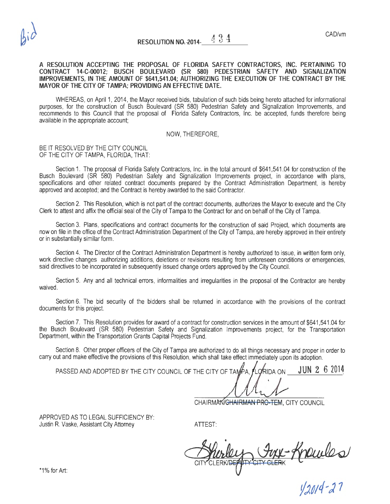#### A RESOLUTION ACCEPTING THE PROPOSAL OF FLORIDA SAFETY CONTRACTORS, INC. PERTAINING TO CONTRACT 14-C-00012; BUSCH BOULEVARD (SR 580) PEDESTRIAN SAFETY AND SIGNALIZATION IMPROVEMENTS, IN THE AMOUNT OF \$641,541.04; AUTHORIZING THE EXECUTION OF THE CONTRACT BY THE MAYOR OF THE CITY OF TAMPA; PROVIDING AN EFFECTIVE DATE.

WHEREAS, on April 1, 2014, the Mayor received bids, tabulation of such bids being hereto attached for informational purposes, for the construction of Busch Boulevard (SR 580) Pedestrian Safety and Signalization Improvements, and recommends to this Council that the proposal of Florida Safety Contractors, Inc. be accepted, funds therefore being available in the appropriate account;

#### NOW, THEREFORE,

#### BE IT RESOLVED BY THE CITY COUNCIL OF THE CITY OF TAMPA, FLORIDA, THAT:

Section 1. The proposal of Florida Safety Contractors, Inc. in the total amount of \$641,541.04 for construction of the Busch Boulevard (SR 580) Pedestrian Safety and Signalization Improvements project, in accordance with plans, specifications and other related contract documents prepared by the Contract Administration Department, is hereby approved and accepted; and the Contract is hereby awarded to the said Contractor.

Section 2. This Resolution, which is not part of the contract documents, authorizes the Mayor to execute and the City Clerk to attest and affix the official seal of the City of Tampa to the Contract for and on behalf of the City of Tampa.

Section 3. Plans, specifications and contract documents for the construction of said Project, which documents are now on file in the office of the Contract Administration Department of the City of Tampa, are hereby approved in their entirety or in substantially similar form.

Section 4. The Director of the Contract Administration Department is hereby authorized to issue, in written form only, work directive changes authorizing additions, deletions or revisions resulting from unforeseen conditions or emergencies, said directives to be incorporated in subsequently issued change orders approved by the City Council.

Section 5. Any and all technical errors, informalities and irregularities in the proposal of the Contractor are hereby waived.

Section 6. The bid security of the bidders shall be returned in accordance with the provisions of the contract documents for this project.

Section 7. This Resolution provides for award of a contract for construction services in the amount of \$641,541.04 for the Busch Boulevard (SR 580) Pedestrian Safety and Signalization Improvements project, for the Transportation Department, within the Transportation Grants Capital Projects Fund.

Section 8. Other proper officers of the City of Tampa are authorized to do all things necessary and proper in order to carry out and make effective the provisions of this Resolution, which shall take effect immediately upon its adoption.

PASSED AND ADOPTED BY THE CITY COUNCIL OF THE CITY OF TAMPA. FLORIDA ON  $3.62014$ 

CHAIRMAN/GHAIRMAN PRO-TEM, CITY COUNCIL

APPROVED AS TO LEGAL SUFFICIENCY BY: Justin R. Vaske, Assistant City Attorney **ATTEST:** 

ATTEST:<br>Surley Juy-Knowles

*tj;p;q.,)* 1

 $*1\%$  for Art: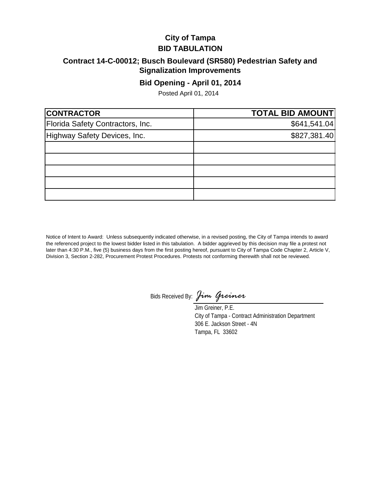## **City of Tampa BID TABULATION**

## **Contract 14-C-00012; Busch Boulevard (SR580) Pedestrian Safety and Signalization Improvements**

### **Bid Opening - April 01, 2014**

Posted April 01, 2014

| <b>CONTRACTOR</b>                | <b>TOTAL BID AMOUNT</b> |
|----------------------------------|-------------------------|
| Florida Safety Contractors, Inc. | \$641,541.04]           |
| Highway Safety Devices, Inc.     | \$827,381.40            |
|                                  |                         |
|                                  |                         |
|                                  |                         |
|                                  |                         |
|                                  |                         |

Notice of Intent to Award: Unless subsequently indicated otherwise, in a revised posting, the City of Tampa intends to award the referenced project to the lowest bidder listed in this tabulation. A bidder aggrieved by this decision may file a protest not later than 4:30 P.M., five (5) business days from the first posting hereof, pursuant to City of Tampa Code Chapter 2, Article V, Division 3, Section 2-282, Procurement Protest Procedures. Protests not conforming therewith shall not be reviewed.

Bids Received By: *Jim Greiner*

Jim Greiner, P.E. City of Tampa - Contract Administration Department 306 E. Jackson Street - 4N Tampa, FL 33602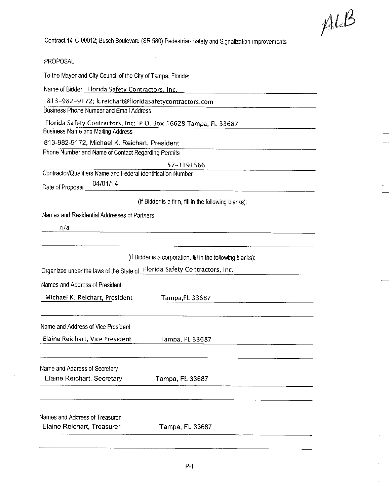$ALB$ 

PROPOSAL

To the Mayor and City Council of the City of Tampa, Florida:

Name of Bidder Florida Safety Contractors, Inc.

813-982-9172; k.reichart@floridasafetycontractors.com

Business Phone Number and Email Address

Florida Safety Contractors, Inc; P.O. Box 16628 Tampa, FL 33687

**Business Name and Mailing Address** 

813-982-9172, Michael K. Reichart, President

Phone Number and Name of Contact Regarding Permits

57-1191566

Contractor/Qualifiers Name and Federal Identification Number

04/01/14 Date of Proposal

(If Bidder is a firm, fill in the following blanks):

Names and Residential Addresses of Partners

 $n/a$ 

(If Bidder is a corporation, fill in the following blanks):

Organized under the laws of the State of Florida Safety Contractors, Inc.

Names and Address of President

Michael K. Reichart, President Tampa, FL 33687

Name and Address of Vice President

Elaine Reichart, Vice President Tampa, FL 33687

Name and Address of Secretary

Elaine Reichart, Secretary

Tampa, FL 33687

Names and Address of Treasurer Elaine Reichart, Treasurer

Tampa, FL 33687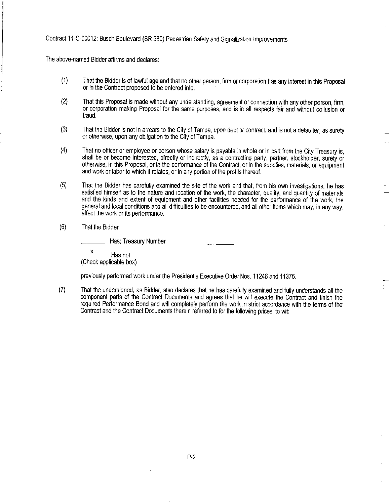The above-named Bidder affirms and declares:

- $(1)$ That the Bidder is of lawful age and that no other person, firm or corporation has any interest in this Proposal or in the Contract proposed to be entered into.
- $(2)$ That this Proposal is made without any understanding, agreement or connection with any other person, firm, or corporation making Proposal for the same purposes, and is in all respects fair and without collusion or fraud.
- $(3)$ That the Bidder is not in arrears to the City of Tampa, upon debt or contract, and is not a defaulter, as surety or otherwise, upon any obligation to the City of Tampa.
- That no officer or employee or person whose salary is payable in whole or in part from the City Treasury is,  $(4)$ shall be or become interested, directly or indirectly, as a contracting party, partner, stockholder, surety or otherwise, in this Proposal, or in the performance of the Contract, or in the supplies, materials, or equipment and work or labor to which it relates, or in any portion of the profits thereof.
- $(5)$ That the Bidder has carefully examined the site of the work and that, from his own investigations, he has satisfied himself as to the nature and location of the work, the character, quality, and quantity of materials and the kinds and extent of equipment and other facilities needed for the performance of the work, the general and local conditions and all difficulties to be encountered, and all other items which may, in any way, affect the work or its performance.
- $(6)$ That the Bidder

 $\pmb{\mathsf{x}}$ Has not (Check applicable box)

previously performed work under the President's Executive Order Nos. 11246 and 11375.

That the undersigned, as Bidder, also declares that he has carefully examined and fully understands all the  $(7)$ component parts of the Contract Documents and agrees that he will execute the Contract and finish the required Performance Bond and will completely perform the work in strict accordance with the terms of the Contract and the Contract Documents therein referred to for the following prices, to wit: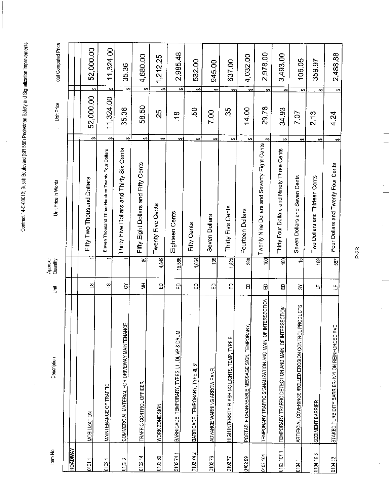$\bar{a}$ 

| Item No.       | Description                                                         |                           | Approx.<br>Quantity | Unit Price in Words                               | Unit Price      | Total Computed Price            |
|----------------|---------------------------------------------------------------------|---------------------------|---------------------|---------------------------------------------------|-----------------|---------------------------------|
| <b>ROADWAY</b> |                                                                     |                           |                     |                                                   |                 |                                 |
| 01011          | <b>MOBILIZATION</b>                                                 | $\mathbf{a}$              | ↽                   | Fifty Two Thousand Dollars                        | 52,000.00<br>↔  | 52,000.00<br>$\overline{ }$     |
| 01021          | MAINTENANCE OF TRAFFIC                                              | S,                        |                     | Eleven Thousand Three Hundred Twenty Four Dollars | 11,324.00<br>69 | 11,324.00<br>$\leftrightarrow$  |
| 01023          | COMMERCIAL MATERIAL FOR DRIVEWAY MAINTENANCE                        | ਠ                         | ÷                   | Thirty Five Dollars and Thirty Six Cents          | 35.36<br>မာ     | 35.36<br>6Ą                     |
| 010214         | TRAFFIC CONTROL OFFICER                                             | $\overline{\overline{z}}$ | ਫ਼                  | Fifty Eight Dollars and Fifty Cents               | 58.50<br>မာ     | 4,680.00<br>$\leftrightarrow$   |
| 010260         | WORK ZONE SIGN                                                      | 品                         | 4,849               | မာ<br>Twenty Five Cents                           | 25              | 1,212.25<br>↔                   |
| 0102741        | BARRICADE, TEMPORARY, TYPES I, II, DI, VP & DRUM                    | 品                         | 16,586              | မာ<br>Eighteen Cents                              | 18              | 2,985.48<br>$\leftrightarrow$   |
| 0102742        | BARRICADE, TEMPORARY, TYPE III, 6'                                  | 。                         | 1,064               | ₩<br>Fifty Cents                                  | S.              | 532.00<br>$\boldsymbol{\omega}$ |
| 010276         | ADVANCE WARNING ARROW PANEL                                         | 品                         | $\frac{35}{2}$      | မာ<br>Seven Dollars                               | 7.00            | 945.00<br>⇔                     |
| 010277         | HIGH INTENSITY FLASHING LIGHTS, TEMP, TYPE B                        | θ                         | $\overline{320}$    | ↮<br>Thirty Five Cents                            | 35              | 637.00<br>$\leftrightarrow$     |
| 010299         | PORTABLE CHANGEABLE MESSAGE SIGN, TEMPORARY,                        | 品                         | 288                 | ÷<br>Fourteen Dollars                             | 14.00           | 4,032.00<br>↔                   |
| 0102104        | <b>INTERSECTION</b><br>TEMPORARY TRAFFIC SIGNALIZATION AND MAIN. OF | 6                         | $\overline{8}$      | မာ<br>Twenty Nine Dollars and Seventy Eight Cents | 29.78           | 2,978.00<br>e9                  |
| 0102 107 1     | TEMPORARY TRAFFIC DETECTION AND MAIN. OF INTERSECTION               | Θ                         | έà                  | Ø<br>Thirty Four Dollars and Ninety Three Cents   | 34.93           | 3,493.00<br>$\bullet$           |
| 01041          | PRODUCTS<br>ARTIFICIAL COVERINGS ROLLED EROSION CONTROL             | ప                         | 15                  | چو<br>Seven Dollars and Seven Cents               | 7.07            | 106.05<br>↔                     |
| 0104103        | SEDIMENT BARRIER                                                    | 凸                         | $\overline{69}$     | e۶<br>Two Dollars and Thirteen Cents              | 2.13            | 359.97<br>₩                     |
| 010412         | STAKED TURBIDITY BARRIER- NYLON REINFORCED PVC                      | $\mathbf{L}$              | 587                 | ↔<br>Four Dollars and Twenty Four Cents           | 4.24            | 2,488.88<br>$\overline{a}$      |

P-3R

 $\frac{1}{2}$ 

 $\frac{1}{2}$ 

l,

÷,

 $\frac{1}{2}$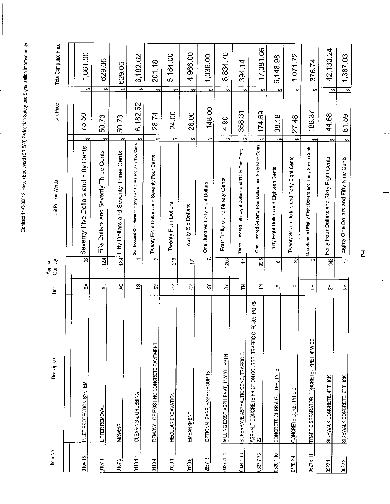| Item No.  | Description                                                         | Š              | Quantity<br>Арргох. | Unit Price in Words                                                        | Unit Price |                      | Total Computed Price |
|-----------|---------------------------------------------------------------------|----------------|---------------------|----------------------------------------------------------------------------|------------|----------------------|----------------------|
|           |                                                                     |                |                     |                                                                            |            |                      |                      |
| 010418    | INLET PROTECTION SYSTEM                                             | 5              | 22                  | Ø<br>Seventy Five Dollars and Fifty Cents                                  | 75.50      | ⇔                    | 1,661.00             |
| 01071     | LITTER REMOVAL                                                      | 5              | 12.4                | $\leftrightarrow$<br>Fifty Dollars and Seventy Three Cents                 | 50.73      | ونه                  | 629.05               |
| 01072     | <b>MOWING</b>                                                       | 5,             | 12.4                | e9<br>Fifty Dollars and Seventy Three Cents                                | 50.73      | $\leftrightarrow$    | 629.05               |
| 011011    | CLEARING & GRUBBING                                                 | $\overline{c}$ | ᠇                   | မာ<br>Six Thousand One Hundred Eighly Two Dollars and Sixty Two Cents      | 6,182.62   | $\leftrightarrow$    | 6,182.62             |
| 01104     | REMOVAL OF EXISTING CONCRETE PAVEMENT                               | $\delta$       | 7                   | $\leftrightarrow$<br>Twenty Eight Dollars and Seventy Four Cents           | 28.74      | ↔                    | 201.18               |
| 01201     | REGULAR EXCAVATION                                                  | ें             | 216                 | Θ,<br>Twenty Four Dollars                                                  | 24.00      | $\leftrightarrow$    | 5,184.00             |
| 01206     | EMBANKMENT                                                          | δ              | $\overline{5}$      | 69<br>Twenty Six Dollars                                                   | 26.00      | $\leftrightarrow$    | 4,966.00             |
| 285715    | OPTIONAL BASE, BASE GROUP 15                                        | ৯              | F                   | ₩,<br>One Hundred Forty Eight Dollars                                      | 148.00     | \$                   | 1,036.00             |
| 0327701   | MILLING EXIST ASPH PAVT, 1" AVG DEPTH                               | $\mathfrak{D}$ | 1,803               | ↔<br>Four Dollars and Ninety Cents                                         | 4.90       | ↔                    | 8,834.70             |
| 0334 1 13 | SUPERPAVE ASPHALTIC CONC, TRAFFIC C                                 | ₹              | $\overline{1}$      | ₩<br>Three Hundred Fifty Eight Dollars and Thirty One Cents                | 358.31     | €                    | 394.14               |
| 0337773   | FC-9.5, PG 76<br>ASPHALT CONCRETE FRICTION COURSE, TRAFFIC C,<br>22 | 준              | 9.5                 | $\leftrightarrow$<br>One Hundred Seventy Four Dollars and Sixty Nine Cents | 174.69     | ِ⇔                   | 17,381.66            |
| 0520110   | CONCRETE CURB & GUTTER, TYPE F                                      | Щ              | $\frac{1}{2}$       | tĄ.<br>Thirty Eight Dollars and Eighteen Cents                             | 38.18      | မာ                   | 6,146.98             |
| 0520 24   | CONCRETE CURB, TYPE D                                               | 뜩              | क्ल                 | $\leftrightarrow$<br>Twenty Seven Dollars and Forty Eight Cents            | 27.48      | မာ                   | 1,071.72             |
| 0520 5 11 | TRAFFIC SEPARATOR CONCRETE-TYPE I, 4' WIDE                          | Ь              | ন                   | ക<br>One Hundred Eighty Eight Dollars and Thirty Seven Cents               | 188.37     | ↔                    | 376.74               |
| 05221     | SIDEWALK CONCRETE, 4" THICK                                         | స్             | 943                 | $\bullet$<br>Forty Four Dollars and Sixty Eight Cents                      | 44.68      | မာ                   | 42, 133.24           |
| 05222     | SIDEWALK CONCRETE, 6" THICK                                         | వ              | Ħ                   | $\bullet$<br>Eighty One Dollars and Fifty Nine Cents                       | 81.59      | $\frac{1}{\epsilon}$ | 1,387.03             |

 $P_{\rightarrow}$ 

 $\frac{1}{2}$ 

 $\frac{1}{\sqrt{2}}$ 

 $\frac{1}{\sqrt{1-\frac{1}{2}}}$ 

 $\frac{1}{2}$ 

l,

 $\frac{1}{\sqrt{2}}$ 

 $\frac{1}{\sqrt{2}}$ 

 $\frac{1}{2}$ 

 $\frac{1}{2}$ 

 $\hat{\mathcal{L}}$ 

ł,

Ŷ,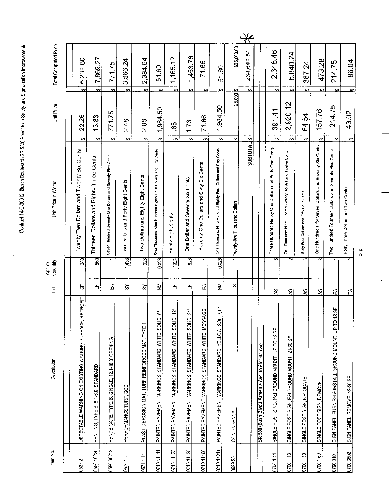$\frac{1}{2}$ 

|             | Description                                                        | 這                   | Quantity<br>Approx.     | Unit Price in Words                                                           | Unit Price             | Total Computed Price          |
|-------------|--------------------------------------------------------------------|---------------------|-------------------------|-------------------------------------------------------------------------------|------------------------|-------------------------------|
|             |                                                                    |                     |                         |                                                                               |                        |                               |
|             | DETECTABLE WARNING ON EXISTING WALKING SURFACE, RETROFIT           | 出                   | 280                     | 69<br>Twenty Two Dollars and Twenty Six Cents                                 | 22.26                  | 6,232.80<br>$\bullet$         |
|             | FENCING, TYPE B, 5.1-6.0, STANDARD                                 | 凸                   | 589                     | $\theta$<br>Thirteen Dollars and Eighty Three Cents                           | 13.83                  | 7,869.27<br>↔                 |
|             | FENCE GATE, TYPE B, SINGLE, 12.1-18.0' OPENING                     | 5                   |                         | $\leftrightarrow$<br>Seven Hundred Seventy One Dollars and Seventy Five Cents | 771.75                 | 771.75<br>÷,                  |
|             | PERFORMANCE TURF, SOD                                              | ৯                   | 1,438                   | ↮<br>Forty Eight Cents<br>Two Dollars and                                     | 2.48                   | 3,566.24<br>မာ                |
|             | PLASTIC EROSION MAT, TURF REINFORCED MAT, TYPE 1                   | ें                  | 828                     | ↔<br>Two Dollars and Eighty Eight Cents                                       | 2.88                   | 2,384.64<br>$\leftrightarrow$ |
|             | စ်<br>PAINTED PAVEMENT MARKINGS, STANDARD, WHITE, SOLID            | $\tilde{\Xi}$       | 0.026                   | ⇔<br>One Thousand Nine Hundred Eighty Four Dollars and Fifty Cents            | 1,984.50               | 51.60<br>$\leftrightarrow$    |
|             | أية<br>ا<br>PAINTED PAVEMENT MARKINGS, STANDARD, WHITE, SOLID,     | 凸                   | 1324                    | ⇔<br>Eighty Eight Cents                                                       | 88                     | 1,165.12<br>$\leftrightarrow$ |
|             | $\mathbf{z}$<br>PAINTED PAVEMENT MARKINGS, STANDARD, WHITE, SOLID, | 凸                   | 826                     | ↔<br>One Dollar and Seventy Six Cents                                         | 1.76                   | 1,453.76<br>$\leftrightarrow$ |
|             | PAINTED PAVEMENT MARKINGS, STANDARD, WHITE, MESSAGE                | E                   | T                       | $\bullet$<br>Seventy One Dollars and Sixty Six Cents                          | 71.66                  | 71.66<br>$\leftrightarrow$    |
|             | PAINTED PAVEMENT MARKINGS, STANDARD, YELLOW, SOLID, 6"             | ₹                   | 0.026                   | မာ<br>One Thousand Nine Hundred Eighty Four Dollars and Fifty Cents           | 1,984.50               | 51.60<br>$\rightarrow$        |
| CONTINGENCY |                                                                    | $\overline{\Omega}$ |                         | $\leftrightarrow$<br>Twenty-five Thousand Dollars                             | $25,000$ $\frac{3}{5}$ | \$25,000.00                   |
|             |                                                                    |                     |                         | <b>SUBTOTALS</b>                                                              |                        | 234,642.54<br>↔               |
|             | SR 580 (Bush Blvd.) Armenia Ave. to Florida Ave.                   |                     |                         |                                                                               |                        |                               |
|             | SINGLE POST SING, F&I GROUND MOUNT, UP TO 12 SF                    | S,                  | 6                       | $\leftrightarrow$<br>Three Hundred Ninety One Dollars and Forty One Cents     | 391.41                 | 2,348.46<br>$\leftrightarrow$ |
|             | SINGLE POST SIGN, F&I GROUND MOUNT, 21-30 SF                       | cs                  | 2                       | ↔<br>Two Thousand Nine Hundred Twenty Dollars and Twelve Cents                | 2,920.12               | 5,840.24<br>$\leftrightarrow$ |
|             | SINGLE POST SIGN, RELOCATE                                         | SZ                  | 6                       | $\leftrightarrow$<br>Sixty Four Dollars and Fifty Four Cents                  | 64.54                  | 387.24<br>$\leftrightarrow$   |
|             | SINGLE POST SIGN, REMOVE                                           | R                   | 3                       | 6Ą<br>One Hundred Fifty Seven Dollars and Seventy Six Cents                   | 157.76                 | 473.28<br>↮                   |
|             | SIGN PANEL, FURNISH & INSTALL GROUND MOUNT, UP TO 12 SF            | ង                   |                         | ٤Ą<br>Two Hundred Fourteen Dollars and Seventy Five Cents                     | 214.75                 | 214.75<br>$\leftrightarrow$   |
|             | SIGN PANEL, REMOVE, 12-20 SF                                       | 및                   | $\overline{\mathbf{c}}$ | မာ<br>Forty Three Dollars and Two Cents                                       | 43.02                  | 86.04<br>$\bullet$            |
|             |                                                                    |                     |                         |                                                                               |                        |                               |

 $P-5$ 

 $\frac{1}{2}$ 

à,

i<br>Li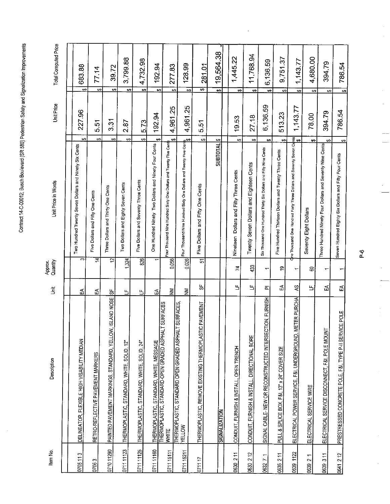J,

| ן \$<br>Qne Thousand One Hundred Forty Three Dollars and Seventy Seven Co <mark>l</mark> nis<br>ק<br>Five Hundred Thirteen Dollars and Twenty Three Cents<br>Twenty Seven Dollars and Eighteen Cents<br>Nineteen Dollars and Fifty Three Cents<br>Five Dollars and Seventy Three Cents<br>Two Dollars and Eighty Seven Cents<br>Five Dollars and Fifty One Cents<br>Three Dollars and Thirty One Cents<br>Five Dollars and Fifty One Cents<br>Seventy Eight Dollars<br>ਦ਼<br>S<br>$\overline{5}$<br>0.026<br>1,324<br>826<br>0.056<br>٣.<br>৯<br>433<br>$\mathcal{L}$<br>\$,<br>8<br>$\overline{\phantom{a}}$<br>$\overline{\phantom{0}}$<br>↽<br>y,<br>$\mathbf{u}$<br>띀<br>5<br>2<br>凸<br>5<br>ᇎ<br>$\bar{\Xi}$<br>š<br>5<br>æ<br>ូ<br>ក<br>5<br>Ь<br>$\mathbf{L}$<br>PAINTED PAVEMENT MARKINGS, STANDARD, YELLOW, ISLAND NOSE<br><b>METER PURCHA</b><br>SIGNAL CABLE- NEW OR RECONSTRUCTED INTERSECTION, FURNISH<br>THERMOPLASTIC, STANDARD OPEN GRADED ASPHALT SURFACES,<br><u>THERMOPLASTIC, STANDARD, WHITE, MESSAGE</u><br>THERMOPLASTIC, STANDARD-OPEN GRADED ASPHALT SURFACES<br>C PAVEMENT<br>ELECTRICAL SERVICE DISCONNECT, F&I, POLE MOUNT<br>THERMOPLASTIC, REMOVE EXISTING THERMOPLAST<br>ELECTRICAL POWER SERVICE, F&I, UNDERGROUND,<br>CONDUIT, FURNISH & INSTALL, DIRECTIONAL BORE<br>DELINEATOR, FLEXIBLE HIGH VISABILITY MEDIAN<br>THERMOPLASTIC, STANDARD, WHITE, SOLID, 12"<br>THERMOPLASTIC, STANDARD, WHITE, SOLID, 24"<br>CONDUIT, FURNISH & INSTALL, OPEN TRENCH<br>PULL & SPLICE BOX, F&I, 13" x 24" COVER SIZE<br>RETRO-REFLECTIVE PAVEMENT MARKERS<br>ELECTRICAL SERVICE WIRE<br><b>SIGNALIZATION</b><br><b>YELLOW</b><br><b>WHITE</b><br>0711 11160<br>0711 11125<br>071011290<br>0711 11123<br>0711 15111<br>0711 15211<br>0639 1122<br>0630 211<br>0630 212<br>0705113<br>0635 211<br>0632 7 1<br>$\frac{1}{2}$<br>07117<br>07063 | Item No. | Description | 信 | Quantity<br>Aprox.<br><del>Q</del> | Unit Price in Words                                                           | Unit Price                       |                   | Total Computed Price |
|------------------------------------------------------------------------------------------------------------------------------------------------------------------------------------------------------------------------------------------------------------------------------------------------------------------------------------------------------------------------------------------------------------------------------------------------------------------------------------------------------------------------------------------------------------------------------------------------------------------------------------------------------------------------------------------------------------------------------------------------------------------------------------------------------------------------------------------------------------------------------------------------------------------------------------------------------------------------------------------------------------------------------------------------------------------------------------------------------------------------------------------------------------------------------------------------------------------------------------------------------------------------------------------------------------------------------------------------------------------------------------------------------------------------------------------------------------------------------------------------------------------------------------------------------------------------------------------------------------------------------------------------------------------------------------------------------------------------------------------------------------------------------------------------------------------------------------------------------------------|----------|-------------|---|------------------------------------|-------------------------------------------------------------------------------|----------------------------------|-------------------|----------------------|
|                                                                                                                                                                                                                                                                                                                                                                                                                                                                                                                                                                                                                                                                                                                                                                                                                                                                                                                                                                                                                                                                                                                                                                                                                                                                                                                                                                                                                                                                                                                                                                                                                                                                                                                                                                                                                                                                  |          |             |   |                                    |                                                                               |                                  |                   |                      |
| 0639 3 11<br>0639                                                                                                                                                                                                                                                                                                                                                                                                                                                                                                                                                                                                                                                                                                                                                                                                                                                                                                                                                                                                                                                                                                                                                                                                                                                                                                                                                                                                                                                                                                                                                                                                                                                                                                                                                                                                                                                |          |             |   |                                    | Two Hundred Twenty Seven Dollars and Ninety Six Cents                         | 22796<br>ΨĤ                      | ون                | 683.88               |
|                                                                                                                                                                                                                                                                                                                                                                                                                                                                                                                                                                                                                                                                                                                                                                                                                                                                                                                                                                                                                                                                                                                                                                                                                                                                                                                                                                                                                                                                                                                                                                                                                                                                                                                                                                                                                                                                  |          |             |   |                                    |                                                                               | $\tilde{\bm{v}}$<br>.<br>ما<br>⇔ | 77.14<br>⇔        |                      |
|                                                                                                                                                                                                                                                                                                                                                                                                                                                                                                                                                                                                                                                                                                                                                                                                                                                                                                                                                                                                                                                                                                                                                                                                                                                                                                                                                                                                                                                                                                                                                                                                                                                                                                                                                                                                                                                                  |          |             |   |                                    | $\leftrightarrow$                                                             | 331                              | دی                | 39.72                |
|                                                                                                                                                                                                                                                                                                                                                                                                                                                                                                                                                                                                                                                                                                                                                                                                                                                                                                                                                                                                                                                                                                                                                                                                                                                                                                                                                                                                                                                                                                                                                                                                                                                                                                                                                                                                                                                                  |          |             |   |                                    | ↔                                                                             | 2.87                             | ↔                 | 3,799.88             |
|                                                                                                                                                                                                                                                                                                                                                                                                                                                                                                                                                                                                                                                                                                                                                                                                                                                                                                                                                                                                                                                                                                                                                                                                                                                                                                                                                                                                                                                                                                                                                                                                                                                                                                                                                                                                                                                                  |          |             |   |                                    |                                                                               | 5.73<br>Θģ                       | <del>رن</del>     | 4,732.98             |
|                                                                                                                                                                                                                                                                                                                                                                                                                                                                                                                                                                                                                                                                                                                                                                                                                                                                                                                                                                                                                                                                                                                                                                                                                                                                                                                                                                                                                                                                                                                                                                                                                                                                                                                                                                                                                                                                  |          |             |   |                                    | $\bullet$<br>One Hundred Ninety Two Dollars and Ninety Four Cents             | 192.94                           | ÷,                | 192.94               |
|                                                                                                                                                                                                                                                                                                                                                                                                                                                                                                                                                                                                                                                                                                                                                                                                                                                                                                                                                                                                                                                                                                                                                                                                                                                                                                                                                                                                                                                                                                                                                                                                                                                                                                                                                                                                                                                                  |          |             |   |                                    | $\Theta$<br>Four Thousand Nine Hundred Sixty One Dollars and Twenty Five Cent | 4,961.25                         | $\bullet$         | 277.83               |
|                                                                                                                                                                                                                                                                                                                                                                                                                                                                                                                                                                                                                                                                                                                                                                                                                                                                                                                                                                                                                                                                                                                                                                                                                                                                                                                                                                                                                                                                                                                                                                                                                                                                                                                                                                                                                                                                  |          |             |   |                                    | Four Thousand Nine Hundred Sixty One Dollars and Twenty Five Cents<br>[\$     | 4,961.25                         | $\leftrightarrow$ | 128.99               |
|                                                                                                                                                                                                                                                                                                                                                                                                                                                                                                                                                                                                                                                                                                                                                                                                                                                                                                                                                                                                                                                                                                                                                                                                                                                                                                                                                                                                                                                                                                                                                                                                                                                                                                                                                                                                                                                                  |          |             |   |                                    | မာ                                                                            | 5.51                             | <del>∞</del>      | 281.01               |
|                                                                                                                                                                                                                                                                                                                                                                                                                                                                                                                                                                                                                                                                                                                                                                                                                                                                                                                                                                                                                                                                                                                                                                                                                                                                                                                                                                                                                                                                                                                                                                                                                                                                                                                                                                                                                                                                  |          |             |   |                                    | $\leftrightarrow$<br><b>SUBTOTAL</b>                                          |                                  | ⇔                 | 19,564.38            |
|                                                                                                                                                                                                                                                                                                                                                                                                                                                                                                                                                                                                                                                                                                                                                                                                                                                                                                                                                                                                                                                                                                                                                                                                                                                                                                                                                                                                                                                                                                                                                                                                                                                                                                                                                                                                                                                                  |          |             |   |                                    |                                                                               |                                  |                   |                      |
|                                                                                                                                                                                                                                                                                                                                                                                                                                                                                                                                                                                                                                                                                                                                                                                                                                                                                                                                                                                                                                                                                                                                                                                                                                                                                                                                                                                                                                                                                                                                                                                                                                                                                                                                                                                                                                                                  |          |             |   |                                    | မာ                                                                            | 19.53                            | ¢9                | 1,445.22             |
|                                                                                                                                                                                                                                                                                                                                                                                                                                                                                                                                                                                                                                                                                                                                                                                                                                                                                                                                                                                                                                                                                                                                                                                                                                                                                                                                                                                                                                                                                                                                                                                                                                                                                                                                                                                                                                                                  |          |             |   |                                    | $\leftrightarrow$                                                             | 2718                             | ↔                 | 11,768.94            |
|                                                                                                                                                                                                                                                                                                                                                                                                                                                                                                                                                                                                                                                                                                                                                                                                                                                                                                                                                                                                                                                                                                                                                                                                                                                                                                                                                                                                                                                                                                                                                                                                                                                                                                                                                                                                                                                                  |          |             |   |                                    | to.<br>Six Thousand One Hundred Thirty Six Dollars and Fifty Nine Cents       | 6,136.59                         | မာ                | 6,136.59             |
|                                                                                                                                                                                                                                                                                                                                                                                                                                                                                                                                                                                                                                                                                                                                                                                                                                                                                                                                                                                                                                                                                                                                                                                                                                                                                                                                                                                                                                                                                                                                                                                                                                                                                                                                                                                                                                                                  |          |             |   |                                    | e                                                                             | 513.23                           | ↔                 | 9,751.37             |
|                                                                                                                                                                                                                                                                                                                                                                                                                                                                                                                                                                                                                                                                                                                                                                                                                                                                                                                                                                                                                                                                                                                                                                                                                                                                                                                                                                                                                                                                                                                                                                                                                                                                                                                                                                                                                                                                  |          |             |   |                                    |                                                                               | 1,143.77                         | မာ                | 1,143.77             |
|                                                                                                                                                                                                                                                                                                                                                                                                                                                                                                                                                                                                                                                                                                                                                                                                                                                                                                                                                                                                                                                                                                                                                                                                                                                                                                                                                                                                                                                                                                                                                                                                                                                                                                                                                                                                                                                                  |          |             |   |                                    | ⇔                                                                             | 78.00                            | မာ                | 4,680.00             |
|                                                                                                                                                                                                                                                                                                                                                                                                                                                                                                                                                                                                                                                                                                                                                                                                                                                                                                                                                                                                                                                                                                                                                                                                                                                                                                                                                                                                                                                                                                                                                                                                                                                                                                                                                                                                                                                                  |          |             |   |                                    | $\leftrightarrow$<br>Three Hundred Ninety Four Dollars and Seventy Nine Cents | 394.79                           | ↮                 | 394.79               |
| 및<br>ICE POLE<br>PRESTRESSED CONCRETE POLE, F&I, TYPE P-II SERV<br>0641 2 12                                                                                                                                                                                                                                                                                                                                                                                                                                                                                                                                                                                                                                                                                                                                                                                                                                                                                                                                                                                                                                                                                                                                                                                                                                                                                                                                                                                                                                                                                                                                                                                                                                                                                                                                                                                     |          |             |   |                                    | $\Theta$<br>Seven Hundred Eighty Six Dollars and Fifty Four Cents             | 786.54                           | <b>GO</b>         | 786.54               |

 $\frac{1}{2}$ 

Ŷ,  $\frac{1}{2}$ 

ł,

 $\overline{a}$ 

 $\ddot{\phantom{0}}$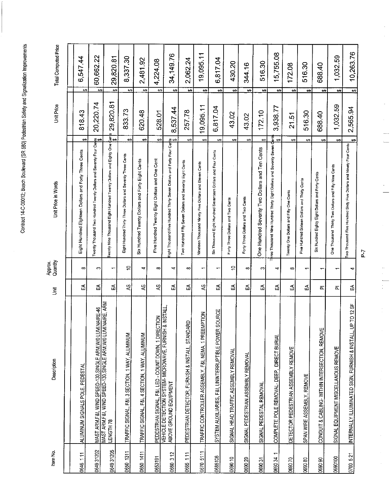| Item No.    | Description                                                                                                              | 這                                                                                                                   | Approx.<br>Quantity      | Unit Price in Words                                                                     | Unit Price              |                        | <b>Total Computed Price</b> |
|-------------|--------------------------------------------------------------------------------------------------------------------------|---------------------------------------------------------------------------------------------------------------------|--------------------------|-----------------------------------------------------------------------------------------|-------------------------|------------------------|-----------------------------|
|             |                                                                                                                          |                                                                                                                     |                          |                                                                                         |                         |                        |                             |
| 0646 1 11   | ALUMINUM SIGNALS POLE, PEDESTAL                                                                                          | 5                                                                                                                   | $\infty$                 | မာ<br>Eight Hundred Eighteen Dollars and Forty Three Cents                              | 81843                   | မာ                     | 6,54744                     |
| 0649 31202  | MAST ARM,F&I, WIND SPEED-130, SINGLE ARM,W/0 LUMINAIRE-46<br>MAST ARM,F&I, WIND SPEED-130, SINGLE ARM,W/0 LUMINAIRE, ARM | ₹                                                                                                                   | S                        | ల<br>Twenty Thousand Two Hundred Twenty Dollars and Seventy Four Cer                    | 20.220.74               | 5                      | 60,662.22                   |
| 064931205   | LENGTH 78                                                                                                                | 5                                                                                                                   | $\overline{\phantom{0}}$ | wenty Nine Thousand Eight Hundred Twenty Dollars and Eighty One                         | 29,820.81<br>ှိ<br>ဇွန် | ويع                    | 29,820.81                   |
| 0650 1311   | TRAFFIC SIGNAL, F&I, 3 SECTION, 1 WAY, ALUMINUM                                                                          | $\mathbf{S}$                                                                                                        | $\approx$                | t.<br>Eight Hundred Thirty Three Dollars and Seventy Three Cents                        | 833.73                  | 69                     | 8,337.30                    |
| 0650 1411   | TRAFFIC SIGNAL, F&I, 4 SECTION, 1 WAY, ALUMINUM                                                                          | SP                                                                                                                  | 4                        | t,<br>Six Hundred Twenty Dollars and Forty Eight Cents                                  | 620.48                  | $\Theta$               | 2,481.92                    |
| 0653191     | PEDESTRIAN SIGNAL, F&I, LED - COUNT DOWN, 1 DIRECTION                                                                    | $\lesssim$                                                                                                          | $\infty$                 | ↔<br>Five Hundred Twenty Eight Dollars and One Cent                                     | 528.01                  | $\leftrightarrow$      | 4,224.08                    |
| 0660 312    | & INSTALL<br>VEHICLE DETECTION SYSTEM-MICROWAVE, FURNISH<br>ABOVE GROUND EQUIPMENT                                       | 5                                                                                                                   | 4                        |                                                                                         | 8,537.44                | $\Theta$               | 34,149.76                   |
| 0665 111    | PEDESTRIAN DETECTOR, FURNISH & INSTALL, STANDARD                                                                         | 5                                                                                                                   | ∞                        | $\leftrightarrow$<br>Two Hundred Fifty Seven Dollars and Seventy Eight Cents            | 257.78                  | $\leftrightarrow$      | 2,062.24                    |
| 0670 5111   | TRAFFIC CONTROLLER ASSEMBLY, F&I, NEMA, 1 PREEMPTION                                                                     | \$                                                                                                                  | ۳                        | 6A<br>Nineteen Thousand Ninety Five Dollars and Eleven Cents                            | 19,095.11               | $\leftrightarrow$      | 19,095.11                   |
| 0685106     | <b>SOURCE</b><br>SYSTEM AUXILIARIES, F&I, UNINTERRUPTIBLE POWER                                                          | 5                                                                                                                   | ↽                        | $\leftrightarrow$<br>Six Thousand Eight Hundred Seventeen Dollars and Four Cents        | 6,817.04                | $\boldsymbol{\varphi}$ | 6,817.04                    |
| 069010      | SIGNAL HEAD TRAFFIC ASSEMBLY REMOVAL                                                                                     | 5                                                                                                                   | $\tilde{c}$              | ⇔<br>Forty Three Dollars and Two Cents                                                  | 43.02                   | ⇔                      | 430.20                      |
| 069020      | SIGNAL PEDESTRIAN ASSEMBLY REMOVAL                                                                                       | 5                                                                                                                   | ∞                        | $\bullet$<br>Forty Three Dollars and Two Cents                                          | 43.02                   | پ                      | 344.16                      |
| 069031      | SIGNAL PEDESTAL REMOVAL                                                                                                  | 5                                                                                                                   | ∞                        | $\Theta$<br>One Hundred Seventy Two Dollars and Ten Cents                               | 172.10                  | မာ့                    | 516.30                      |
| ↔<br>069034 | COMPLETE POLE REMOVAL-DEEP, DIRECT BURIAL                                                                                | 모                                                                                                                   | ↽                        | ã<br>69<br>Three Thousand Nine Hundred Thirty Eight Dollars and Seventy Seven C         | 3,938.77                | ₩                      | 15,755.08                   |
| 020 0890    | DETECTOR PEDESTRIAN ASSEMBLY REMOVE                                                                                      | 5                                                                                                                   | $\infty$                 | $\bullet$<br>Twenty One Dollars and Fifty One Cents                                     | 21.51                   | $\leftrightarrow$      | 172.08                      |
| 069080      | SPAN WIRE ASSEMBLY, REMOVE                                                                                               | 5                                                                                                                   | $\overline{ }$           | ÷Ą<br>Five Hundred Sixteen Dollars and Thirty Cents                                     | 516.30                  | မာ                     | 516.30                      |
| 069090      | CONDUIT & CABLING-WITHIN INTERSECTION, REMOVE                                                                            | ᇍ                                                                                                                   | ᠇                        | $\leftrightarrow$<br>Six Hundred Eighty Eight Dollars and Forty Cents                   | 688.40                  | ⇔                      | 688.40                      |
| 0690100     | SIGNAL EQUIPMENT MISCELLANOUS REMOVE                                                                                     | 匹                                                                                                                   |                          | ÷,<br>One Thousand Thirty Two Dollars and Fifty Nine Cents                              | 1,032.59                | မာ                     | 1,032.59                    |
| 0700 5.21   | UP TO 12 SF<br>INTERNALLY ILLUMINATED SIGN, FURNISH & INSTALL,                                                           | $\mathfrak{L}% _{A}^{\alpha\beta}=\mathfrak{L}_{A}\!\!\left( a,b\right) ,\ \mathfrak{L}_{A}\!\!\left( b,c\right) ,$ | 4                        | $\leftrightarrow$<br>Iwo Thousand Five Hundred Sixty Five Dollars and Ninety Four Cents | 2,565.94                | $\overline{ }$         | 10,263.76                   |

 $P - 7$ 

 $\frac{1}{\sqrt{2}}$ 

à,

 $\frac{1}{\sqrt{2}}$  $\frac{1}{2}$ 

 $\hat{\mathcal{L}}$ 

 $\frac{1}{2}$ 

 $\frac{1}{\sqrt{2}}$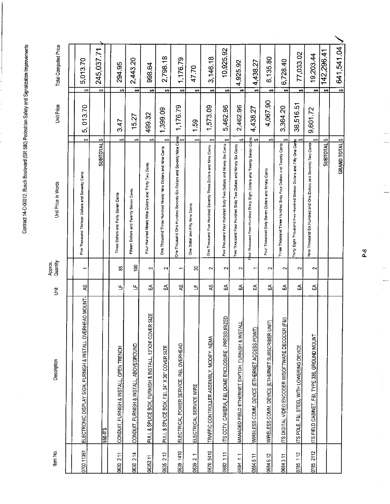$\hat{\boldsymbol{\beta}}$ 

| Item No.  | Description                                                | 言  | Approx.<br>Quantity      | Unit Price in Words                                                                    | Unit Price    | Total Computed Price            |  |
|-----------|------------------------------------------------------------|----|--------------------------|----------------------------------------------------------------------------------------|---------------|---------------------------------|--|
|           |                                                            |    |                          |                                                                                        |               |                                 |  |
|           | ELECTRONIC DISPLAY SIGN, FURNISH & INSTALL OVERHEAD MOUNT- | 2  | $\overline{\phantom{0}}$ | မာ<br>Five Thousand Thirteen Dollars and Seventy Cents                                 | 013.70<br>ທົ່ | 5,013.70<br>↔                   |  |
|           | <b>S10-112</b>                                             |    |                          | $\bullet$<br>SUBTOTAL                                                                  |               | 245,037.71<br>↔                 |  |
|           | CONDUIT, FURNISH & INSTALL, OPEN TRENCH                    | Ь  | $\pmb{\mathcal{S}}$      | $\Theta$<br>Three Dollars and Forty Seven Cents                                        | 3.47          | 294.95<br>₩                     |  |
| 0630 214  | CONDUIT, FURNISH & INSTALL, ABOVEGROUND                    | Щ  | <b>色</b>                 | မာ<br>Fifteen Dollars and Twenty Seven Cents                                           | 15.27         | 2,443.20<br>$\leftrightarrow$   |  |
|           | PULL & SPLICE BOX, FURNISH & INSTALL, 13"X24" COVER SIZE   | 및  | $\sim$                   | ക<br>Four Hundred Ninety Nine Dollars and Thirty Two Cents                             | 499.32        | 998.64<br>€Ģ                    |  |
| 0635 2 12 | PULL & SPLICE BOX, F&I, 24" X 36" COVER SIZE               | 5  | $\sim$                   | tĄ,<br>One Thousand Three Hundred Ninety Nine Dollars and Nine Cents                   | 1,399.09      | 2,798.18<br>မာ                  |  |
| 0639 1410 | ELECTRICAL POWER SERVICE, REL OVERHEAD                     | Sy | $\overline{\phantom{0}}$ | ently Nine Come Hundred Seventy Six Dollars and Seventy Nine Come<br>  \$<br>          | 1,176.79      | 1,176.79<br>⇔                   |  |
| 0639 2 1  | ELECTRICAL SERVICE WIRE                                    | Ь  | S                        | $\bullet$<br>One Dollar and Fifty Nine Cents                                           | 1.59          | 47.70<br>₩                      |  |
| 0670 5410 | TRAFFIC CONTROLLER ASSEMBLY, MODIFY, NEMA                  | 43 | $\sim$                   | $\leftrightarrow$<br>One Thousand Five Hundred Seventy Three Dollars and Nine Cents    | 1,573.09      | 3,146.18<br>$\leftrightarrow$   |  |
| 0682 111  | ITS CCTV_CAMERA, F&I, DOME ENCLOSURE - PRESSURIZED         | Ę  | $\sim$                   | 69<br>Five Thousand Four Hundred Sixty Two Dollars and Ninety Six Cents                | 5,462.96      | 10,925.92<br>↔                  |  |
| 0684 1 1  | MANAGED FIELD ETHERNET SWITCH, FURNISH & INSTALL           | 민  | $\sim$                   | $\leftrightarrow$<br>Two Thousand Four Hundred Sixty Two Dollars and Ninety Six Cents  | 2,462.96      | 4,925.92<br>$\rightarrow$       |  |
| 0684 6 11 | WIRELESS COMM. DEVICE (ETHERNET ACCESS POINT)              | 모  | ٣                        | our Thousand Four Hundred Thirty Eight Dollars and Twenty Seven Cights<br>  \$<br>  \$ | 4,438.27      | 4,438.27<br>$\mathbf{5}$        |  |
|           | WIRELESS COMM. DEVICE (ETHERNET SUBSCRIBER UNIT)           | 뫄  | $\sim$                   | ÷,<br>Four Thousand Sixty Seven Dollars and Ninety Cents                               | 4,067.90      | 8,135.80<br>$\bullet$           |  |
| 0684311   | (F3i)<br>ITS DIGITAL VIDEO ENCODER W/SOFTWARE DECODER      | 5  | $\sim$                   | ₩<br>Three Thousand Three Hundred Sixty Four Dollars and Twenty Cents                  | 3,364.20      | 6,728.40<br>$\overline{4}$      |  |
| 0785 112  | ITS POLE, F&I, STEEL WITH LOWERING DEVICE                  | 믻  | $\sim$                   | <u>n</u> ↔<br>Thirty Eight Thousand Five Hundred Sixteen Dollars and Fifty One Cer     | 38,516.51     | 77,033.02<br>$\leftrightarrow$  |  |
| 0785 2112 | ITS FIELD CABINET, F&I, TYPE 336, GROUND MOUNT             | 5  | $\sim$                   | မာ<br>Nine Thousand Six Hundred and One Dollars and Seventy Two Cents                  | 9,601.72      | 19,203.44<br>÷,                 |  |
|           |                                                            |    |                          | ↔<br>SUBTOTAL                                                                          |               | 142,296.41<br>$\leftrightarrow$ |  |
|           |                                                            |    |                          | <b>GRAND TOTAL<sup>S</sup></b>                                                         |               | 641,541.04<br>$\overline{6}$    |  |

 $\frac{8}{5}$ 

 $\frac{1}{2}$ 

 $\overline{\phantom{a}}$ 

 $\frac{1}{\sqrt{2}}$ 

 $\frac{1}{2}$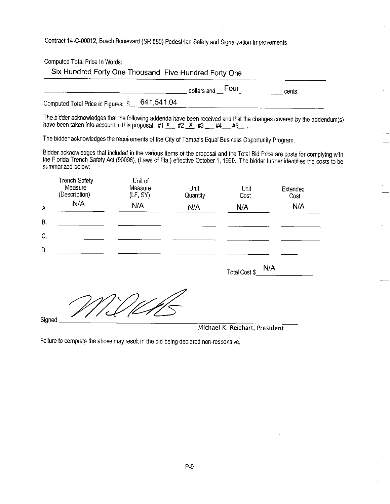Computed Total Price In Words:

Six Hundred Forty One Thousand Five Hundred Forty One

| Four<br>dollars and<br>сенка. |
|-------------------------------|
|-------------------------------|

641,541.04 Computed Total Price in Figures: \$

The bidder acknowledges that the following addenda have been received and that the changes covered by the addendum(s) have been taken into account in this proposal: #1  $X_{-}$  #2  $X_{-}$  #3  $-$  #4  $-$  #5  $-$ .

The bidder acknowledges the requirements of the City of Tampa's Equal Business Opportunity Program.

Bidder acknowledges that included in the various items of the proposal and the Total Bid Price are costs for complying with the Florida Trench Safety Act (90096), (Laws of Fla.) effective October 1, 1990. The bidder further identifies the costs to be summarized below:

|    | <b>Trench Safety</b><br>Measure<br>(Description) | Unit of<br>Measure<br>(LF, SY) | Unit<br>Quantity | Unit<br>Cost | Extended<br>Cost |
|----|--------------------------------------------------|--------------------------------|------------------|--------------|------------------|
| Α. | N/A                                              | N/A                            | N/A              | N/A          | N/A              |
| В. |                                                  |                                |                  |              |                  |
| C. |                                                  |                                |                  |              |                  |
| D. |                                                  |                                |                  |              |                  |

 $N/A$ Total Cost \$

Signed

Michael K. Reichart, President

Failure to complete the above may result in the bid being declared non-responsive.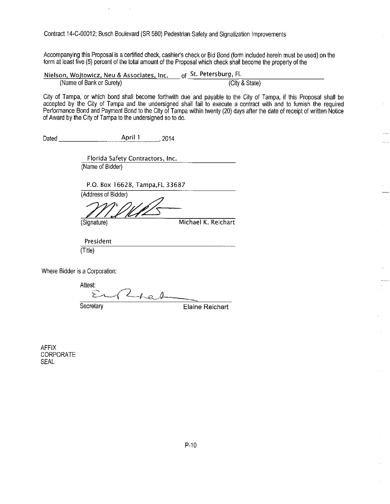Accompanying this Proposal is a certified check, cashier's check or Bid Bond (form included herein must be used) on the form at least five (5) percent of the total amount of the Proposal which check shall become the property of the

Nielson, Wojtowicz, Neu & Associates, Inc. of St. Petersburg, FL (City & State) (Name of Bank or Surety)

City of Tampa, or which bond shall become forthwith due and payable to the City of Tampa, if this Proposal shall be accepted by the City of Tampa and the undersigned shall fail to execute a contract with and to furnish the required Performance Bond and Payment Bond to the City of Tampa within twenty (20) days after the date of receipt of written Notice of Award by the City of Tampa to the undersigned so to do.

April 1 Dated  $.2014$ 

> Florida Safety Contractors, Inc. (Name of Bidder)

P.O. Box 16628, Tampa, FL 33687

(Address of Bidder) (Signature)

Michael K. Reichart

President  $(Title)$ 

Where Bidder is a Corporation:

Attest:  $L_{he}$ と Secretary **Elaine Reichart** 

**AFFIX** CORPORATE **SEAL**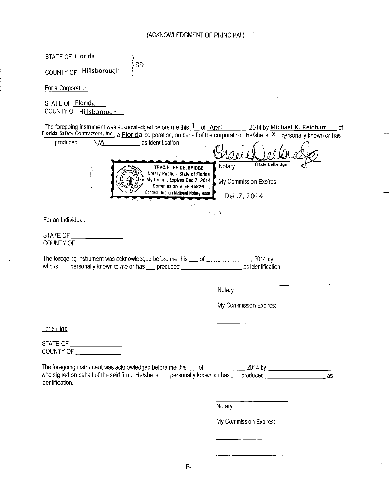| STATE OF Florida                                                                                                                                                                                                                                     |                                                                     |
|------------------------------------------------------------------------------------------------------------------------------------------------------------------------------------------------------------------------------------------------------|---------------------------------------------------------------------|
| SS:<br>COUNTY OF Hillsborough                                                                                                                                                                                                                        |                                                                     |
| For a Corporation:                                                                                                                                                                                                                                   |                                                                     |
| STATE OF Florida<br>COUNTY OF Hillsborough                                                                                                                                                                                                           |                                                                     |
| The foregoing instrument was acknowledged before me this 1 of April ______, 2014 by Michael K. Reichart<br>Florida Safety Contractors, Inc., a Florida corporation, on behalf of the corporation. He/she is X personally known or has                | 0f                                                                  |
| produced N/A<br>as identification.                                                                                                                                                                                                                   |                                                                     |
| TRACIE LEE DELBRIDGE<br>Notary Public - State of Florida<br>My Comm. Expires Dec 7, 2014<br>Commission # EE 45826<br>Bonded Through National Notary Assn.<br>i, s                                                                                    | Tracie Delbridge<br>Notary<br>My Commission Expires:<br>Dec.7, 2014 |
| an was class<br>For an Individual:                                                                                                                                                                                                                   |                                                                     |
| STATE OF $\_\_\_\_\_\_\_\_\_\_\_\_\_\_\_\_\_\_$<br>COUNTY OF                                                                                                                                                                                         |                                                                     |
|                                                                                                                                                                                                                                                      |                                                                     |
| The foregoing instrument was acknowledged before me this ___ of ________________, 2014 by _<br>who is enterprise personally known to me or has enterproduced enterprise as identification.                                                           |                                                                     |
|                                                                                                                                                                                                                                                      | Notary                                                              |
|                                                                                                                                                                                                                                                      | My Commission Expires:                                              |
| For a Firm:                                                                                                                                                                                                                                          |                                                                     |
| STATE OF ____________________<br>COUNTY OF ________________                                                                                                                                                                                          |                                                                     |
| The foregoing instrument was acknowledged before me this ___ of ___________, 2014 by ________________________<br>who signed on behalf of the said firm. He/she is ___ personally known or has ___ produced ____________________as<br>identification. | as                                                                  |
|                                                                                                                                                                                                                                                      | Notary                                                              |
|                                                                                                                                                                                                                                                      | My Commission Expires:                                              |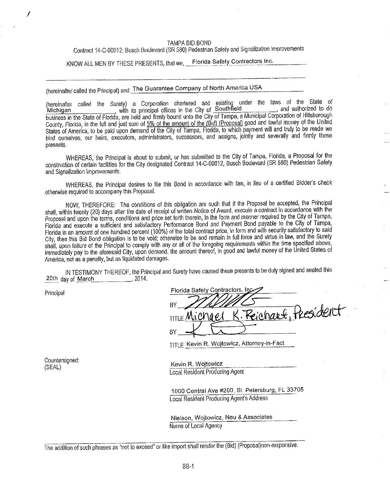#### TAMPA BID BOND

Contract 14-C-00012; Busch Boulevard (SR 580) Pedestrian Safety and Signalization Improvements

KNOW ALL MEN BY THESE PRESENTS, that we, Florida Safety Contractors Inc.

(hereinafter called the Principal) and The Guarantee Company of North America USA

(hereinafter called the Surety) a Corporation chartered and existing under the laws of the State of Michigan<br>with its principal offices in the City of Southfield<br>business in the State of Florida, are held and firmly bound County, Florida, in the full and just sum of 5% of the amount of the (Bid) (Proposal) good and lawful money of the United States of America, to be paid upon demand of the City of Tampa, Florida, to which payment will and truly to be made we bind ourselves, our heirs, executors, administrators, successors, and assigns, jointly and severally and firmly these presents.

WHEREAS, the Principal is about to submit, or has submitted to the City of Tampa, Florida, a Proposal for the construction of certain facilities for the City designated Contract 14-C-00012, Busch Boulevard (SR 580) Pedestrian Safety and Signalization Improvements.

WHEREAS, the Principal desires to file this Bond in accordance with law, in lieu of a certified Bidder's check otherwise required to accompany this Proposal.

NOW, THEREFORE: The conditions of this obligation are such that if the Proposal be accepted, the Principal shall, within twenty (20) days after the date of receipt of written Notice of Award, execute a contract in accordance with the Proposal and upon the terms, conditions and price set forth therein, in the form and manner required by the City of Tampa, Florida and execute a sufficient and satisfactory Performance Bond and Payment Bond payable to the City of Tampa, Florida in an amount of one hundred percent (100%) of the total contract price, in form and with security satisfactory to said City, then this Bid Bond obligation is to be void; otherwise to be and remain in full force and virtue in law, and the Surety shall, upon failure of the Principal to comply with any or all of the foregoing requirements within the time specified above, immediately pay to the aforesald City, upon demand, the amount thereof, in good and lawful money of the United States of America, not as a penalty, but as liquidated damages.

IN TESTIMONY THEREOF, the Principal and Surety have caused these presents to be duly signed and sealed this 20th day of March 2014.

Principal

| Florida Safety Contractors, Inc            |
|--------------------------------------------|
|                                            |
| ВY                                         |
| K. Reichart, tresident<br>TITLE Michael    |
|                                            |
|                                            |
| TITLE Kevin R. Wojtowicz, Attorney-in-Fact |

Countersigned: (SEAL)

Kevin R. Wojtowicz Local Resident Producing Agent

1000 Central Ave #200, St. Petersburg, FL 33705 Local Resident Producing Agent's Address

Nielson, Wojtowicz, Neu & Associates Name of Local Agency

The addition of such phrases as "not to exceed" or like import shall render the (Bid) (Proposal)non-responsive.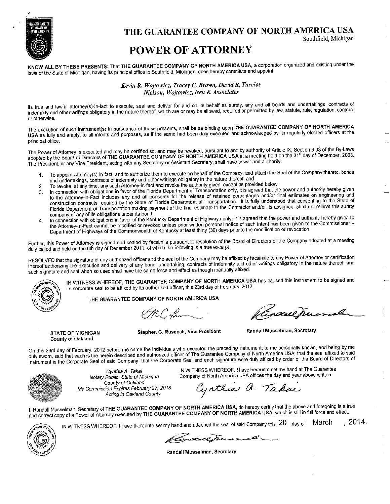

THE GUARANTEE COMPANY OF NORTH AMERICA USA

Southfield, Michigan

## **POWER OF ATTORNEY**

KNOW ALL BY THESE PRESENTS: That THE GUARANTEE COMPANY OF NORTH AMERICA USA, a corporation organized and existing under the laws of the State of Michigan, having its principal office in Southfield, Michigan, does hereby constitute and appoint

> Kevin R. Wojtowicz, Tracey C. Brown, David R. Turcios Nielson, Woitowicz, Neu & Associates

its true and lawful attorney(s)-in-fact to execute, seal and deliver for and on its behalf as surety, any and all bonds and undertakings, contracts of indemnity and other writings obligatory in the nature thereof, which are or may be allowed, required or permitted by law, statute, rule, regulation, contract or otherwise.

The execution of such instrument(s) in pursuance of these presents, shall be as binding upon THE GUARANTEE COMPANY OF NORTH AMERICA USA as fully and amply, to all intents and purposes, as if the same had been duly executed and acknowledged by its regularly elected officers at the principal office.

The Power of Attorney is executed and may be certified so, and may be revoked, pursuant to and by authority of Article IX, Section 9.03 of the By-Laws adopted by the Board of Directors of THE GUARANTEE COMPANY OF NORTH AMERICA USA at a meeting held on the 31<sup>st</sup> day of December, 2003. The President, or any Vice President, acting with any Secretary or Assistant Secretary, shall have power and authority:

- To appoint Attorney(s)-in-fact, and to authorize them to execute on behalf of the Company, and attach the Seal of the Company thereto, bonds 1. and undertakings, contracts of indemnity and other writings obligatory in the nature thereof; and
- To revoke, at any time, any such Attorney-in-fact and revoke the authority given, except as provided below  $\overline{2}$
- In connection with obligations in favor of the Florida Department of Transportation only, it is agreed that the power and authority hereby given  $3<sub>1</sub>$ to the Attorney-in-Fact includes any and all consents for the release of retained percentages and/or final estimates on engineering and construction contracts required by the State of Florida Department of Transportation. It is fully understood that consenting to the State of Florida Department of Transportation making payment of the final estimate to the Contractor and/or its assignee, shall not relieve this surety company of any of its obligations under its bond.
- In connection with obligations in favor of the Kentucky Department of Highways only, it is agreed that the power and authority hereby given to  $\overline{\mathbf{4}}$ . the Attorney-in-Fact cannot be modified or revoked unless prior written personal notice of such intent has been given to the Commissioner Department of Highways of the Commonwealth of Kentucky at least thirty (30) days prior to the modification or revocation.

Further, this Power of Attorney is signed and sealed by facsimile pursuant to resolution of the Board of Directors of the Company adopted at a meeting duly called and held on the 6th day of December 2011, of which the following is a true excerpt:

RESOLVED that the signature of any authorized officer and the seal of the Company may be affixed by facsimile to any Power of Attorney or certification thereof authorizing the execution and delivery of any bond, undertaking, contracts of indemnity and other writings obligatory in the nature thereof, and such signature and seal when so used shall have the same force and effect as though manually affixed.



IN WITNESS WHEREOF, THE GUARANTEE COMPANY OF NORTH AMERICA USA has caused this instrument to be signed and its corporate seal to be affixed by its authorized officer, this 23rd day of February, 2012.

THE GUARANTEE COMPANY OF NORTH AMERICA USA

OMC from

Cordueaumaler

**STATE OF MICHIGAN County of Oakland** 

Stephen C. Ruschak, Vice President

Randall Musselman, Secretary

On this 23rd day of February, 2012 before me came the individuals who executed the preceding instrument, to me personally known, and being by me duly sworm, said that each is the herein described and authorized officer of The Guarantee Company of North America USA; that the seal affixed to said instrument is the Corporate Seal of said Company; that the Corporate Seal and each signature were duly affixed by order of the Board of Directors of



Cynthia A. Takai Notary Public, State of Michigan County of Oakland My Commission Expires February 27, 2018 Acting in Oakland County

IN WITNESS WHEREOF, I have hereunto set my hand at The Guarantee Company of North America USA offices the day and year above written.

Cynthia a. Takai

1, Randall Musselman, Secretary of THE GUARANTEE COMPANY OF NORTH AMERICA USA, do hereby certify that the above and foregoing is a true in the correct copy of a Power of Attorney executed by THE GUARANTEE COMPANY OF NORTH AMERICA USA, which is still in full force and effect.



IN WITNESS WHEREOF, I have thereunto set my hand and attached the seal of said Company this 20 day of March  $2014.$ 

Varacentuma

Randall Musselman, Secretary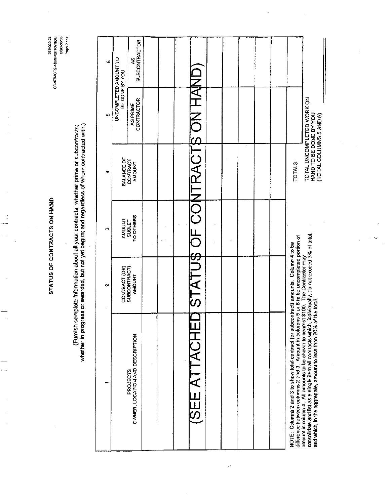STATUS OF CONTRACTS ON HAND

Z P S ARAH<br>SOSPOSO<br>SOSPOSO<br>CFORDER SUSPAINER SLOVSLINCO

(Furnish complete information about all your contracts, whether prime or subcontracts;<br>whether in progress or awarded, but not yet begun; and regardless of whom contracted with.)

| Φ   |                                         | <b>SUBCONTRACTOR</b><br>ري<br>گ             |  |                             |  |  |                                                                                                                                                                                    |                                                                                                                                                                                                                                                              |
|-----|-----------------------------------------|---------------------------------------------|--|-----------------------------|--|--|------------------------------------------------------------------------------------------------------------------------------------------------------------------------------------|--------------------------------------------------------------------------------------------------------------------------------------------------------------------------------------------------------------------------------------------------------------|
| in, | UNCOMPLETED AMOUNT TO<br>BE DONE BY YOU | CONTRACTOR<br>AS PRIME                      |  |                             |  |  |                                                                                                                                                                                    | TOTAL UNCOMPLETED WORK ON                                                                                                                                                                                                                                    |
| G   | BALANCE OF                              | CONTRACT<br>AMOUNT                          |  | STATUS OF CONTRACTS ON HAND |  |  | <b>TOTALS</b>                                                                                                                                                                      | HAND TO BE DONE BY YOU<br>(TOTAL COLUMNS 5 AND 6)                                                                                                                                                                                                            |
| ø   | <b>AMOUNT</b>                           | TO OTHERS<br><b>SUBLET</b>                  |  |                             |  |  |                                                                                                                                                                                    |                                                                                                                                                                                                                                                              |
| N   | CONTRACT (OR)                           | <b>SUBCONTRACT)</b><br>AMOUNT               |  |                             |  |  |                                                                                                                                                                                    |                                                                                                                                                                                                                                                              |
|     |                                         | OWNER, LOCATION AND DESCRIPTION<br>PROJECTS |  | SEE ATTACHE                 |  |  | difference between columns 2 and 3. Amount in columns 5 or 6 to be uncompleted portion of<br>NOTE: Columns 2 and 3 to show total contract (or subcontract) amounts. Column 4 to be | consolidate and list as a single item all contracts which, individually, do not exceed 3% of total,<br>amount in column 4. All amounts to be shown to nearest \$100. The Contractor may<br>and which, in the aggregate, amount to less than 20% of the total |

 $\ddot{\phantom{1}}$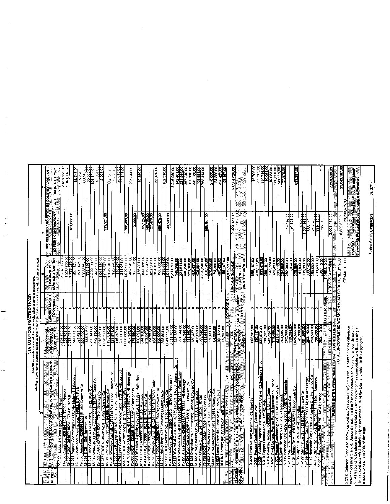|                    |                                                                                                                                                                                                                                      | STATUS OF CONTRACTS ON HAND                                                                                                                                                                                                                                                                                       |                            | whether in progress or awarded but mot year contracts, whether prime or subcontracts;<br>whether in progress or awarded but mot yet begun; and regardiess of its location and with whom contracted                                                                                    |                                                                                                                                                             |                                                                                                                                                                                                                                                                                              |
|--------------------|--------------------------------------------------------------------------------------------------------------------------------------------------------------------------------------------------------------------------------------|-------------------------------------------------------------------------------------------------------------------------------------------------------------------------------------------------------------------------------------------------------------------------------------------------------------------|----------------------------|---------------------------------------------------------------------------------------------------------------------------------------------------------------------------------------------------------------------------------------------------------------------------------------|-------------------------------------------------------------------------------------------------------------------------------------------------------------|----------------------------------------------------------------------------------------------------------------------------------------------------------------------------------------------------------------------------------------------------------------------------------------------|
|                    |                                                                                                                                                                                                                                      |                                                                                                                                                                                                                                                                                                                   |                            |                                                                                                                                                                                                                                                                                       |                                                                                                                                                             |                                                                                                                                                                                                                                                                                              |
| CLASSES<br>DF WORK | PERFORMING<br>ă<br>AND LOCATION OF WORK YOU<br>PROJECTS<br><b>DOT</b>                                                                                                                                                                | CONTRACT (OR                                                                                                                                                                                                                                                                                                      | <b>PHOLIVE SUBLET</b>      | <b>BALANCE OF</b>                                                                                                                                                                                                                                                                     |                                                                                                                                                             | UNCOMPLETED AMOUNT TO BE DONE BY APPLICANT                                                                                                                                                                                                                                                   |
|                    |                                                                                                                                                                                                                                      | SUBCONTRACT)                                                                                                                                                                                                                                                                                                      | <b>TO OTHERS</b>           | <b>CONTRACTANOUNT</b>                                                                                                                                                                                                                                                                 | AS PRIME CONTRACTOR                                                                                                                                         | AS SUBCONTRACTOR                                                                                                                                                                                                                                                                             |
|                    | 4091541                                                                                                                                                                                                                              | 5,737,995,00<br> 1,208,708,00<br> 201,671,00<br> 200,440,00<br> 355,316,00<br> 355,316,00                                                                                                                                                                                                                         |                            | 5,737,935.00<br>1,208,708.00                                                                                                                                                                                                                                                          |                                                                                                                                                             | 2,513,351.00<br>1,048,862.00                                                                                                                                                                                                                                                                 |
|                    | 12-034 FDOT 25467715231                                                                                                                                                                                                              |                                                                                                                                                                                                                                                                                                                   |                            |                                                                                                                                                                                                                                                                                       | 151,685.00                                                                                                                                                  |                                                                                                                                                                                                                                                                                              |
|                    |                                                                                                                                                                                                                                      |                                                                                                                                                                                                                                                                                                                   | 0 0 0 0 0                  | 7,778,275.00                                                                                                                                                                                                                                                                          |                                                                                                                                                             |                                                                                                                                                                                                                                                                                              |
|                    |                                                                                                                                                                                                                                      |                                                                                                                                                                                                                                                                                                                   |                            |                                                                                                                                                                                                                                                                                       |                                                                                                                                                             |                                                                                                                                                                                                                                                                                              |
|                    |                                                                                                                                                                                                                                      |                                                                                                                                                                                                                                                                                                                   |                            |                                                                                                                                                                                                                                                                                       |                                                                                                                                                             |                                                                                                                                                                                                                                                                                              |
|                    |                                                                                                                                                                                                                                      |                                                                                                                                                                                                                                                                                                                   |                            |                                                                                                                                                                                                                                                                                       |                                                                                                                                                             |                                                                                                                                                                                                                                                                                              |
|                    |                                                                                                                                                                                                                                      | 2,290,141.00<br>472,136.00<br>1,013,350.00                                                                                                                                                                                                                                                                        |                            |                                                                                                                                                                                                                                                                                       |                                                                                                                                                             |                                                                                                                                                                                                                                                                                              |
|                    |                                                                                                                                                                                                                                      | $\frac{1}{1028,577,101}$<br>1,028,577,105,000,11<br>1,195,010,1                                                                                                                                                                                                                                                   |                            |                                                                                                                                                                                                                                                                                       |                                                                                                                                                             |                                                                                                                                                                                                                                                                                              |
|                    |                                                                                                                                                                                                                                      |                                                                                                                                                                                                                                                                                                                   |                            |                                                                                                                                                                                                                                                                                       | 319,921.00                                                                                                                                                  |                                                                                                                                                                                                                                                                                              |
|                    |                                                                                                                                                                                                                                      |                                                                                                                                                                                                                                                                                                                   |                            |                                                                                                                                                                                                                                                                                       |                                                                                                                                                             | 331,959.00<br>3,678.00<br>26,010.00<br>4,343.00                                                                                                                                                                                                                                              |
|                    |                                                                                                                                                                                                                                      | $\begin{array}{r}\n 123,978,00 \\  \hline\n 116,207,00 \\  \hline\n 288,061,00 \\  \hline\n 1,000,000,00 \\  \hline\n 467,343,00 \\  \hline\n 175,550,00\n \end{array}$                                                                                                                                           |                            |                                                                                                                                                                                                                                                                                       |                                                                                                                                                             |                                                                                                                                                                                                                                                                                              |
|                    |                                                                                                                                                                                                                                      |                                                                                                                                                                                                                                                                                                                   |                            |                                                                                                                                                                                                                                                                                       |                                                                                                                                                             |                                                                                                                                                                                                                                                                                              |
|                    |                                                                                                                                                                                                                                      |                                                                                                                                                                                                                                                                                                                   |                            |                                                                                                                                                                                                                                                                                       | 780,403.00                                                                                                                                                  |                                                                                                                                                                                                                                                                                              |
|                    |                                                                                                                                                                                                                                      |                                                                                                                                                                                                                                                                                                                   |                            |                                                                                                                                                                                                                                                                                       | 2,000,00                                                                                                                                                    | 295,544.00                                                                                                                                                                                                                                                                                   |
|                    |                                                                                                                                                                                                                                      | 186,89                                                                                                                                                                                                                                                                                                            |                            |                                                                                                                                                                                                                                                                                       |                                                                                                                                                             | 159,850.00                                                                                                                                                                                                                                                                                   |
|                    |                                                                                                                                                                                                                                      |                                                                                                                                                                                                                                                                                                                   |                            |                                                                                                                                                                                                                                                                                       |                                                                                                                                                             |                                                                                                                                                                                                                                                                                              |
|                    |                                                                                                                                                                                                                                      |                                                                                                                                                                                                                                                                                                                   |                            |                                                                                                                                                                                                                                                                                       | 95,125.00<br>149,700.00<br>27,478,00                                                                                                                        |                                                                                                                                                                                                                                                                                              |
|                    |                                                                                                                                                                                                                                      | $\begin{array}{r} \hline 1818 \\ 1918 \\ 1918 \\ 1918 \\ 1918 \\ 1918 \\ 1918 \\ 1918 \\ 1918 \\ 1918 \\ 1918 \\ 1918 \\ 1918 \\ 1918 \\ 1918 \\ 1918 \\ 1918 \\ 1918 \\ 1918 \\ 1918 \\ 1918 \\ 1918 \\ 1918 \\ 1918 \\ 1918 \\ 1918 \\ 1918 \\ 1918 \\ 1918 \\ 1918 \\ 1918 \\ 1918 \\ 1918 \\ 1918 \\ 1918 \\$ |                            |                                                                                                                                                                                                                                                                                       |                                                                                                                                                             |                                                                                                                                                                                                                                                                                              |
|                    |                                                                                                                                                                                                                                      |                                                                                                                                                                                                                                                                                                                   | 0                          |                                                                                                                                                                                                                                                                                       | 659,478.00                                                                                                                                                  | 58,120.00                                                                                                                                                                                                                                                                                    |
|                    |                                                                                                                                                                                                                                      |                                                                                                                                                                                                                                                                                                                   | ۰                          |                                                                                                                                                                                                                                                                                       |                                                                                                                                                             | $\sqrt{2.310 \text{ N}}$                                                                                                                                                                                                                                                                     |
|                    |                                                                                                                                                                                                                                      |                                                                                                                                                                                                                                                                                                                   | ۰                          |                                                                                                                                                                                                                                                                                       | 46,500.00                                                                                                                                                   |                                                                                                                                                                                                                                                                                              |
|                    |                                                                                                                                                                                                                                      |                                                                                                                                                                                                                                                                                                                   |                            |                                                                                                                                                                                                                                                                                       |                                                                                                                                                             |                                                                                                                                                                                                                                                                                              |
|                    |                                                                                                                                                                                                                                      | 8,311,705.00<br>148,289.00<br>221,544.00                                                                                                                                                                                                                                                                          | ه اه ا                     |                                                                                                                                                                                                                                                                                       |                                                                                                                                                             | 8,246,089.00<br>142,481.00                                                                                                                                                                                                                                                                   |
|                    |                                                                                                                                                                                                                                      |                                                                                                                                                                                                                                                                                                                   |                            |                                                                                                                                                                                                                                                                                       |                                                                                                                                                             |                                                                                                                                                                                                                                                                                              |
|                    |                                                                                                                                                                                                                                      | 8<br>440,348<br>131,160<br>450,437                                                                                                                                                                                                                                                                                |                            |                                                                                                                                                                                                                                                                                       |                                                                                                                                                             | :18<br>221,544.00<br>367,240.00                                                                                                                                                                                                                                                              |
|                    |                                                                                                                                                                                                                                      | β.                                                                                                                                                                                                                                                                                                                | ۰                          |                                                                                                                                                                                                                                                                                       |                                                                                                                                                             |                                                                                                                                                                                                                                                                                              |
|                    |                                                                                                                                                                                                                                      | isisi                                                                                                                                                                                                                                                                                                             | ۰                          |                                                                                                                                                                                                                                                                                       |                                                                                                                                                             |                                                                                                                                                                                                                                                                                              |
|                    |                                                                                                                                                                                                                                      |                                                                                                                                                                                                                                                                                                                   | 0                          |                                                                                                                                                                                                                                                                                       |                                                                                                                                                             | 00'14'2'209'00<br>00'168'80P<br>00'00L'62L                                                                                                                                                                                                                                                   |
|                    | 201: 11579; Lee Co<br>13-136 FDOT#308645201<br>T1002 BAC #308065201: T1<br>T1002 BAC #3080674 11<br>T1002 BAC #2080881 14-008<br>T4-008 Lane Contract                                                                                | 406,891.00<br>3,799,346.00<br>688,541.000<br><u>270,000.00</u><br>270,000.00                                                                                                                                                                                                                                      | 이어                         | 450,437.00<br>00.139,346.00<br>00.000.000 885<br>00.000.000 885<br>00.432.000 880,423.00                                                                                                                                                                                              | 688,541.00                                                                                                                                                  |                                                                                                                                                                                                                                                                                              |
|                    | ; T7335; Pinellas Co<br>; T5488; Orange Co.<br>115201; T1578; Polk                                                                                                                                                                   |                                                                                                                                                                                                                                                                                                                   |                            |                                                                                                                                                                                                                                                                                       |                                                                                                                                                             |                                                                                                                                                                                                                                                                                              |
|                    |                                                                                                                                                                                                                                      | 84,380.00                                                                                                                                                                                                                                                                                                         | $\circ$                    |                                                                                                                                                                                                                                                                                       |                                                                                                                                                             | 270,000,000<br>M.380,000<br>480,423,00<br>S.5,197,000                                                                                                                                                                                                                                        |
|                    | 14-008 Lane Constr, #42<br>14-010 Horizon; #43195                                                                                                                                                                                    |                                                                                                                                                                                                                                                                                                                   |                            |                                                                                                                                                                                                                                                                                       |                                                                                                                                                             |                                                                                                                                                                                                                                                                                              |
|                    |                                                                                                                                                                                                                                      | 55,197.00                                                                                                                                                                                                                                                                                                         |                            | 55 197                                                                                                                                                                                                                                                                                |                                                                                                                                                             |                                                                                                                                                                                                                                                                                              |
|                    |                                                                                                                                                                                                                                      |                                                                                                                                                                                                                                                                                                                   | <b>DOT WORK</b>            | 44.972.297.00                                                                                                                                                                                                                                                                         |                                                                                                                                                             |                                                                                                                                                                                                                                                                                              |
|                    |                                                                                                                                                                                                                                      |                                                                                                                                                                                                                                                                                                                   |                            | (Col. 5 Subtotal)                                                                                                                                                                                                                                                                     | 920,829.00                                                                                                                                                  | 21,384,628.00                                                                                                                                                                                                                                                                                |
| <b>THRSES</b>      | OTHER (Not-2017) PROJECTS, OWNER, AND LOCATION OF WORK                                                                                                                                                                               | CONTRACT (OR<br>SUBCONTRACT)                                                                                                                                                                                                                                                                                      | ANOUNT SUBLET<br>TO OTHERS | <b>BALANCE OF SAMPLE</b>                                                                                                                                                                                                                                                              |                                                                                                                                                             | EW.                                                                                                                                                                                                                                                                                          |
|                    |                                                                                                                                                                                                                                      | <b>HIGHAR</b>                                                                                                                                                                                                                                                                                                     |                            |                                                                                                                                                                                                                                                                                       |                                                                                                                                                             |                                                                                                                                                                                                                                                                                              |
|                    |                                                                                                                                                                                                                                      |                                                                                                                                                                                                                                                                                                                   |                            |                                                                                                                                                                                                                                                                                       |                                                                                                                                                             |                                                                                                                                                                                                                                                                                              |
|                    |                                                                                                                                                                                                                                      | <u>်းခြ</u>                                                                                                                                                                                                                                                                                                       | 01010                      | 655 107 00                                                                                                                                                                                                                                                                            |                                                                                                                                                             |                                                                                                                                                                                                                                                                                              |
|                    |                                                                                                                                                                                                                                      |                                                                                                                                                                                                                                                                                                                   |                            |                                                                                                                                                                                                                                                                                       |                                                                                                                                                             |                                                                                                                                                                                                                                                                                              |
|                    |                                                                                                                                                                                                                                      |                                                                                                                                                                                                                                                                                                                   | ం∣ం∣                       | 833,470<br>286,161                                                                                                                                                                                                                                                                    |                                                                                                                                                             |                                                                                                                                                                                                                                                                                              |
|                    |                                                                                                                                                                                                                                      |                                                                                                                                                                                                                                                                                                                   |                            |                                                                                                                                                                                                                                                                                       |                                                                                                                                                             |                                                                                                                                                                                                                                                                                              |
|                    |                                                                                                                                                                                                                                      |                                                                                                                                                                                                                                                                                                                   |                            |                                                                                                                                                                                                                                                                                       |                                                                                                                                                             |                                                                                                                                                                                                                                                                                              |
|                    |                                                                                                                                                                                                                                      |                                                                                                                                                                                                                                                                                                                   |                            |                                                                                                                                                                                                                                                                                       |                                                                                                                                                             | $\begin{array}{r l} \hline 109.08 \\ \hline 103.368.08 \\ \hline 203.368.09 \\ \hline 204.714.09 \\ \hline 30.084.09 \\ \hline 10.083.09 \\ \hline 203.575.00 \\ \hline 141.559.00 \\ \hline 151.00 \\ \hline 201.00 \\ \hline 101.00 \\ \hline 21.00 \\ \hline 31.00 \\ \hline \end{array}$ |
|                    |                                                                                                                                                                                                                                      |                                                                                                                                                                                                                                                                                                                   |                            |                                                                                                                                                                                                                                                                                       |                                                                                                                                                             |                                                                                                                                                                                                                                                                                              |
|                    |                                                                                                                                                                                                                                      |                                                                                                                                                                                                                                                                                                                   |                            |                                                                                                                                                                                                                                                                                       | $\frac{14,182,00}{31,823,00}$                                                                                                                               |                                                                                                                                                                                                                                                                                              |
|                    |                                                                                                                                                                                                                                      |                                                                                                                                                                                                                                                                                                                   |                            | $\begin{array}{r l} \hline & 12.724\,00\\ \hline & 142.724\,00\\ \hline & 13.09\,00\\ \hline & 113.000\\ \hline & 132.368\,00\\ \hline & 160.064\,00\\ \hline & 100.064\,00\\ \hline & 1.000\,00\\ \hline & 1.000\,00\\ \hline & 1.000\,00\\ \hline & 1.000\,00\\ \hline \end{array}$ |                                                                                                                                                             | 633,207.00                                                                                                                                                                                                                                                                                   |
|                    |                                                                                                                                                                                                                                      |                                                                                                                                                                                                                                                                                                                   |                            |                                                                                                                                                                                                                                                                                       | 2,265.00                                                                                                                                                    |                                                                                                                                                                                                                                                                                              |
|                    |                                                                                                                                                                                                                                      |                                                                                                                                                                                                                                                                                                                   |                            | 1,001,988.00                                                                                                                                                                                                                                                                          |                                                                                                                                                             |                                                                                                                                                                                                                                                                                              |
|                    |                                                                                                                                                                                                                                      | 1,001,988.00<br>  383,142.00<br>  259,569.00<br>  739,430.00                                                                                                                                                                                                                                                      | 999999999999               |                                                                                                                                                                                                                                                                                       | $\begin{array}{r l} \hline 1.001,988.00 \\ \hline 383,142.00 \\ \hline 213,523.00 \\ \hline 739,430.00 \\ \hline 739,110.00 \\ \hline \end{array}$          |                                                                                                                                                                                                                                                                                              |
|                    |                                                                                                                                                                                                                                      |                                                                                                                                                                                                                                                                                                                   | $\mathbf C$                |                                                                                                                                                                                                                                                                                       |                                                                                                                                                             |                                                                                                                                                                                                                                                                                              |
|                    |                                                                                                                                                                                                                                      | 283,110.00                                                                                                                                                                                                                                                                                                        | <b>OTHER WORK</b>          |                                                                                                                                                                                                                                                                                       |                                                                                                                                                             |                                                                                                                                                                                                                                                                                              |
|                    |                                                                                                                                                                                                                                      |                                                                                                                                                                                                                                                                                                                   |                            |                                                                                                                                                                                                                                                                                       | 2,659,479.00                                                                                                                                                | 2,258,539.00                                                                                                                                                                                                                                                                                 |
|                    | <b>IN ALAS EN LISTA DE VERMENT NO VOOR GEST DE VOOR OM TYPE VERMEERT DE DOME BAADD</b><br>In de Vermeert de Vermeert van de Vermeert de Voormeert de Verderings van de dome baard van de Vermeert van de                             |                                                                                                                                                                                                                                                                                                                   |                            |                                                                                                                                                                                                                                                                                       |                                                                                                                                                             |                                                                                                                                                                                                                                                                                              |
|                    |                                                                                                                                                                                                                                      |                                                                                                                                                                                                                                                                                                                   |                            |                                                                                                                                                                                                                                                                                       | 5,590,308.00                                                                                                                                                | 23,643,167 00                                                                                                                                                                                                                                                                                |
|                    |                                                                                                                                                                                                                                      |                                                                                                                                                                                                                                                                                                                   |                            | <b>GRAND TOTAL</b>                                                                                                                                                                                                                                                                    |                                                                                                                                                             |                                                                                                                                                                                                                                                                                              |
|                    |                                                                                                                                                                                                                                      |                                                                                                                                                                                                                                                                                                                   |                            |                                                                                                                                                                                                                                                                                       |                                                                                                                                                             |                                                                                                                                                                                                                                                                                              |
|                    |                                                                                                                                                                                                                                      |                                                                                                                                                                                                                                                                                                                   |                            |                                                                                                                                                                                                                                                                                       | total of Columns oand T Must be Filled in and Must<br>Lotal of Columns oand T Must be Filled in and Must<br>Agree with Related Attachment(s), if furnished. |                                                                                                                                                                                                                                                                                              |
|                    | 20TE: Columns 3 and 4 to show total contract (or subcontract) amounts. Column 5 to be difference<br>etween columns 3 and 4. Amount in columns 6 or 7 to be uncompleted portion of amount in column<br>en all contracts which individ |                                                                                                                                                                                                                                                                                                                   |                            |                                                                                                                                                                                                                                                                                       |                                                                                                                                                             |                                                                                                                                                                                                                                                                                              |
|                    |                                                                                                                                                                                                                                      |                                                                                                                                                                                                                                                                                                                   |                            |                                                                                                                                                                                                                                                                                       | Florida Safety Cont                                                                                                                                         |                                                                                                                                                                                                                                                                                              |
|                    |                                                                                                                                                                                                                                      |                                                                                                                                                                                                                                                                                                                   |                            |                                                                                                                                                                                                                                                                                       |                                                                                                                                                             |                                                                                                                                                                                                                                                                                              |

 $\sim$ 

 $\hat{\boldsymbol{\beta}}$ 

 $\frac{1}{2}$  $\overline{\phantom{a}}$ 

J.

 $\ddot{\phantom{a}}$ 

 $\ddot{\phantom{a}}$ 

l,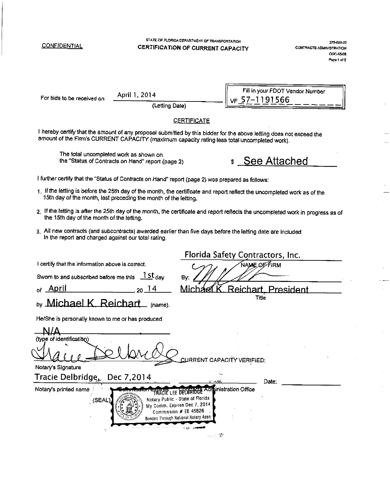| <b>CONFIDENTIAL</b>                                                                                                                                                                                                 |                                                   | STATE OF FLORIDA DEPARTMENT OF TRANSPORTATION<br>CERTIFICATION OF CURRENT CAPACITY                                                                                                                                                   |                                                    | 375-020-22<br><b>CONTRACTS ADMINISTRATION</b><br><b>OGC-05-05</b><br>Page 1 of 2 |
|---------------------------------------------------------------------------------------------------------------------------------------------------------------------------------------------------------------------|---------------------------------------------------|--------------------------------------------------------------------------------------------------------------------------------------------------------------------------------------------------------------------------------------|----------------------------------------------------|----------------------------------------------------------------------------------|
| For bids to be received on                                                                                                                                                                                          | April 1, 2014<br>(Letting Date)                   |                                                                                                                                                                                                                                      | Fill in your FDOT Vendor Number<br>$VF 57-1191566$ |                                                                                  |
|                                                                                                                                                                                                                     |                                                   | <b>CERTIFICATE</b>                                                                                                                                                                                                                   |                                                    |                                                                                  |
| I hereby certify that the amount of any proposal submitted by this bidder for the above letting does not exceed the<br>amount of the Firm's CURRENT CAPACITY (maximum capacity rating less total uncompleted work). |                                                   |                                                                                                                                                                                                                                      |                                                    |                                                                                  |
| The total uncompleted work as shown on                                                                                                                                                                              | the "Status of Contracts on Hand" report (page 2) |                                                                                                                                                                                                                                      |                                                    |                                                                                  |
| I further certify that the "Status of Contracts on Hand" report (page 2) was prepared as follows:                                                                                                                   |                                                   |                                                                                                                                                                                                                                      |                                                    |                                                                                  |
| 1. If the letting is before the 25th day of the month, the certificate and report reflect the uncompleted work as of the<br>15th day of the month, last preceding the month of the letting.                         |                                                   |                                                                                                                                                                                                                                      |                                                    |                                                                                  |
| 2. If the letting is after the 25th day of the month, the certificate and report reflects the uncompleted work in progress as of<br>the 15th day of the month of the letting.                                       |                                                   |                                                                                                                                                                                                                                      |                                                    |                                                                                  |
| 3. All new contracts (and subcontracts) awarded earlier than five days before the letting date are included<br>in the report and charged against our total rating.                                                  |                                                   |                                                                                                                                                                                                                                      |                                                    |                                                                                  |
|                                                                                                                                                                                                                     |                                                   |                                                                                                                                                                                                                                      | Florida Safety Contractors, Inc.                   |                                                                                  |
| I certify that the information above is correct.                                                                                                                                                                    |                                                   |                                                                                                                                                                                                                                      | <b>NAME, OF FIRM</b>                               |                                                                                  |
| Sworn to and subscribed before me this $15t$ day                                                                                                                                                                    |                                                   | By.                                                                                                                                                                                                                                  |                                                    |                                                                                  |
| <sub>of</sub> April                                                                                                                                                                                                 | $20^{14}$                                         | Mich                                                                                                                                                                                                                                 | Reichart, President                                |                                                                                  |
| ь <sub>у</sub> Michael K. Reichart                                                                                                                                                                                  | $\_$ (name).                                      |                                                                                                                                                                                                                                      | Title                                              |                                                                                  |
| He/She is personally known to me or has produced                                                                                                                                                                    |                                                   |                                                                                                                                                                                                                                      |                                                    |                                                                                  |
|                                                                                                                                                                                                                     |                                                   |                                                                                                                                                                                                                                      |                                                    |                                                                                  |
| (type of identification)                                                                                                                                                                                            |                                                   |                                                                                                                                                                                                                                      |                                                    |                                                                                  |
|                                                                                                                                                                                                                     |                                                   | <b>CURRENT CAPAC</b>                                                                                                                                                                                                                 | <b>VERIFIED:</b>                                   |                                                                                  |
| Notary's Signature                                                                                                                                                                                                  |                                                   |                                                                                                                                                                                                                                      |                                                    |                                                                                  |
| Tracie Delbridge, Dec 7,2014                                                                                                                                                                                        |                                                   |                                                                                                                                                                                                                                      | Date:                                              |                                                                                  |
| Notary's printed name<br>(SEAL                                                                                                                                                                                      | روا اللق                                          | <b>TRACTE LEE DEL BRIDGE Administration Office</b><br>Notary Public - State of Florida<br>My Comm. Expires Dec 7, 2014<br>Commission # EE 45826<br>Bonded Through National Notary Assn<br>$\mathbb{R}_{\geq 0} \subset \mathbb{R}^2$ |                                                    |                                                                                  |
|                                                                                                                                                                                                                     |                                                   |                                                                                                                                                                                                                                      |                                                    |                                                                                  |

 $\ddot{\phantom{a}}$ 

 $\frac{1}{2}$ 

 $\frac{1}{\sqrt{2\pi}}\int_0^1\frac{1}{\sqrt{2\pi}}\left(\frac{1}{2\pi}\right)^2\frac{1}{2\pi}d\mu$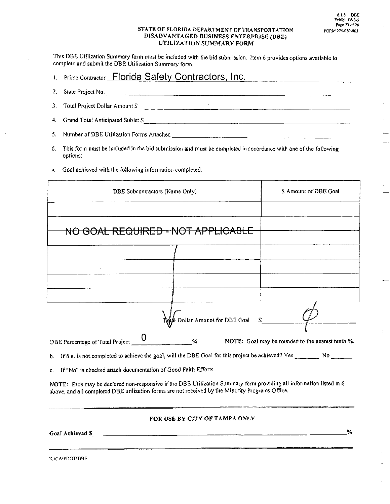$\bar{u}$ 

#### STATE OF FLORIDA DEPARTMENT OF TRANSPORTATION DISADVANTAGED BUSINESS ENTERPRISE (DBE) UTILIZATION SUMMARY FORM

This DBE Utilization Summary form must be included with the bid submission. Item 6 provides options available to complete and submit the DBE Utilization Summary form.

| <b>Prime Contractor Florida Safety Contractors, Inc.</b> |  |
|----------------------------------------------------------|--|
|----------------------------------------------------------|--|

- 2. State Project No. Total Project Dollar Amount \$  $3.$
- 4. Grand Total Anticipated Sublet \$

- $6.$ This form must be included in the bid submission and must be completed in accordance with one of the following options:
- a. Goal achieved with the following information completed.

| <b>DBE</b> Subcontractors (Name Only)                                                                                                                                                                                   | \$ Amount of DBE Goal                             |
|-------------------------------------------------------------------------------------------------------------------------------------------------------------------------------------------------------------------------|---------------------------------------------------|
|                                                                                                                                                                                                                         |                                                   |
| NO GOAL REQUIRED - NOT APPLICABLE                                                                                                                                                                                       |                                                   |
|                                                                                                                                                                                                                         |                                                   |
|                                                                                                                                                                                                                         |                                                   |
|                                                                                                                                                                                                                         |                                                   |
|                                                                                                                                                                                                                         |                                                   |
| ighal Dollar Amount for DBE Goal \$______                                                                                                                                                                               |                                                   |
| DBE Percentage of Total Project __ U<br>$\%$                                                                                                                                                                            | NOTE: Goal may be rounded to the nearest tenth %. |
| If 6.a. is not completed to achieve the goal, will the DBE Goal for this project be achieved? Yes _______ No _______<br>b.                                                                                              |                                                   |
| If "No" is checked attach documentation of Good Faith Efforts.<br>C.                                                                                                                                                    |                                                   |
| NOTE: Bids may be declared non-responsive if the DBE Utilization Summary form providing all information listed in 6<br>above, and all completed DBE utilization forms are not received by the Minority Programs Office. |                                                   |

FOR USE BY CITY OF TAMPA ONLY

Goal Achieved \$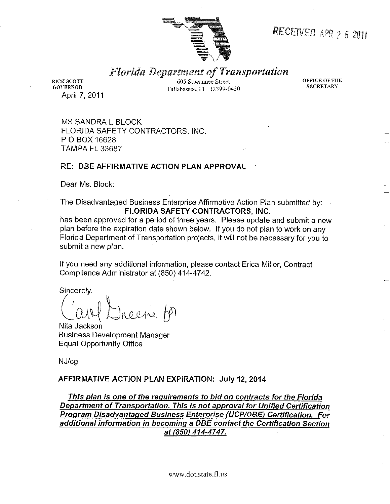

## RECEIVED APR 2 5 2011

## **Florida Department of Transportation**

**RICK SCOTT GOVERNOR** April 7, 2011

605 Suwannee Street Tallahassee, FL 32399-0450 OFFICE OF THE **SECRETARY** 

**MS SANDRA L BLOCK** FLORIDA SAFETY CONTRACTORS, INC. P O BOX 16628 **TAMPA FL 33687** 

### **RE: DBE AFFIRMATIVE ACTION PLAN APPROVAL**

Dear Ms. Block:

The Disadvantaged Business Enterprise Affirmative Action Plan submitted by: FLORIDA SAFETY CONTRACTORS, INC.

has been approved for a period of three years. Please update and submit a new plan before the expiration date shown below. If you do not plan to work on any Florida Department of Transportation projects, it will not be necessary for you to submit a new plan.

If you need any additional information, please contact Erica Miller, Contract Compliance Administrator at (850) 414-4742.

Sincerely,

Nita Jackson **Business Development Manager Equal Opportunity Office** 

NJ/cg

### AFFIRMATIVE ACTION PLAN EXPIRATION: July 12, 2014

This plan is one of the requirements to bid on contracts for the Florida Department of Transportation. This is not approval for Unified Certification Program Disadvantaged Business Enterprise (UCP/DBE) Certification. For additional information in becoming a DBE contact the Certification Section at (850) 414-4747.

www.dot.state.fl.us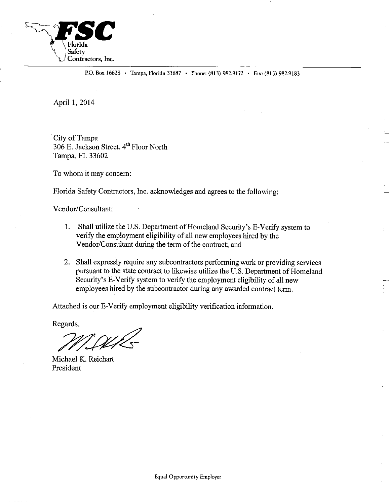

P.O. Box 16628 · Tampa, Florida 33687 · Phone: (813) 982-9172 · Fax: (813) 982-9183

April 1, 2014

City of Tampa 306 E. Jackson Street. 4th Floor North Tampa, FL 33602

To whom it may concern:

Florida Safety Contractors, Inc. acknowledges and agrees to the following:

Vendor/Consultant:

- 1. Shall utilize the U.S. Department of Homeland Security's E-Verify system to verify the employment eligibility of all new employees hired by the Vendor/Consultant during the term of the contract; and
- 2. Shall expressly require any subcontractors performing work or providing services pursuant to the state contract to likewise utilize the U.S. Department of Homeland Security's E-Verify system to verify the employment eligibility of all new employees hired by the subcontractor during any awarded contract term.

Attached is our E-Verify employment eligibility verification information.

Regards,

Michael K. Reichart President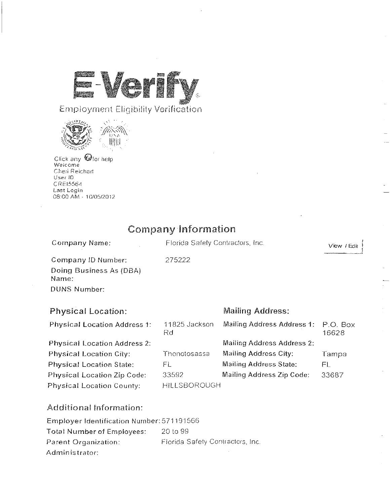لانتقال<br>منتقا

## Employment Eligibility Verification



Click any Offor help<br>Welcome<br>Cheri Reichart User ID CRE15564 Last Login<br>08:00 AM - 10/05/2012

## **Company Information**

| Company Name:                       | Florida Safety Contractors, Inc. |                               | View / Edit       |
|-------------------------------------|----------------------------------|-------------------------------|-------------------|
| Company ID Number:                  | 275222                           |                               |                   |
| Doing Business As (DBA)<br>Name:    |                                  |                               |                   |
| <b>DUNS Number:</b>                 |                                  |                               |                   |
| <b>Physical Location:</b>           |                                  | <b>Mailing Address:</b>       |                   |
| <b>Physical Location Address 1:</b> | 11825 Jackson<br>Rd              | Mailing Address Address 1:    | P.O. Box<br>16628 |
| <b>Physical Location Address 2:</b> |                                  | Mailing Address Address 2:    |                   |
| Physical Location City:             | Thonotosassa                     | <b>Mailing Address City:</b>  | Tampa             |
| <b>Physical Location State:</b>     | FL                               | <b>Mailing Address State:</b> | FL.               |
| <b>Physical Location Zip Code:</b>  | 33592                            | Mailing Address Zip Code:     | 33687             |
| Physical Location County:           | HILLSBOROUGH                     |                               |                   |

## Additional Information:

| Employer Identification Number: 571191566 |                                  |
|-------------------------------------------|----------------------------------|
| Total Number of Employees:                | -20 to 99                        |
| Parent Organization:                      | Florida Safety Contractors, Inc. |
| Administrator:                            |                                  |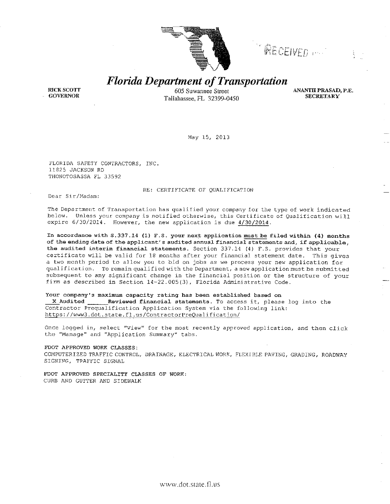

RECEIVED ...

**Florida Department of Transportation** 

**RICK SCOTT GOVERNOR** 

605 Suwannee Street Tallahassee, FL 32399-0450 **ANANTH PRASAD, P.E. SECRETARY** 

May 15, 2013

FLORIDA SAFETY CONTRACTORS, INC. 11825 JACKSON RD THONOTOSASSA FL 33592

RE: CERTIFICATE OF QUALIFICATION

Dear Sir/Madam:

The Department of Transportation has qualified your company for the type of work indicated below. Unless your company is notified otherwise, this Certificate of Qualification will expire 6/30/2014. However, the new application is due 4/30/2014.

In accordance with S.337.14 (1) F.S. your next application must be filed within (4) months of the ending date of the applicant's audited annual financial statements and, if applicable, the audited interim financial statements. Section 337.14 (4) F.S. provides that your certificate will be valid for 18 months after your financial statement date. This gives a two month period to allow you to bid on jobs as we process your new application for qualification. To remain qualified with the Department, a new application must be submitted subsequent to any significant change in the financial position or the structure of your firm as described in Section 14-22.005(3), Florida Administrative Code.

#### Your company's maximum capacity rating has been established based on

Reviewed financial statements. To access it, please log into the X Audited Contractor Prequalification Application System via the following link: https://www3.dot.state.fl.us/ContractorPreQualification/

Once logged in, select "View" for the most recently approved application, and then click the "Manage" and "Application Summary" tabs.

FDOT APPROVED WORK CLASSES:

COMPUTERIZED TRAFFIC CONTROL, DRAINAGE, ELECTRICAL WORK, FLEXIBLE PAVING, GRADING, ROADWAY SIGNING, TRAFFIC SIGNAL

FDOT APPROVED SPECIALITY CLASSES OF WORK: CURB AND GUTTER AND SIDEWALK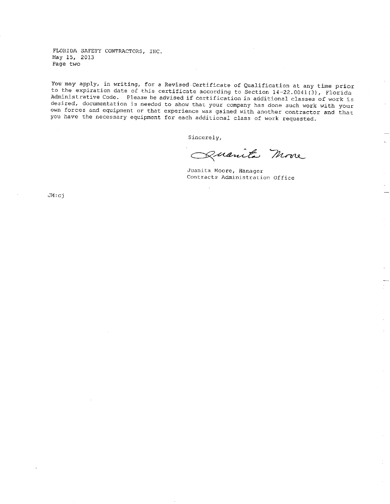FLORIDA SAFETY CONTRACTORS, INC. May 15, 2013 Page two

You may apply, in writing, for a Revised Certificate of Qualification at any time prior to the expiration date of this certificate according to Section 14-22.0041(3), Florida Administrative Code. Please be advised if certification in additional classes of work is desired, documentation is needed to show that your company has done such work with your own forces and equipment or that experience was gained with another contractor and that you have the necessary equipment for each additional class of work requested.

Sincerely,

zuanita More

Juanita Moore, Manager Contracts Administration Office

 $JM$ :cj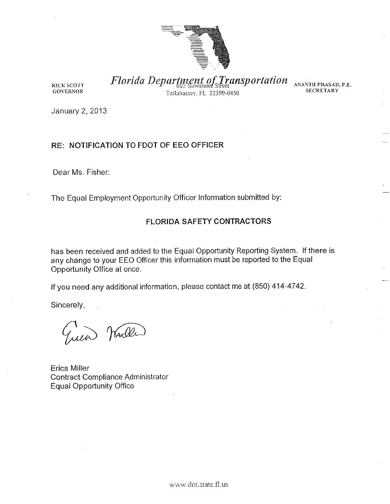

RICK SCOTT **GOVERNOR** 

Florida Department of Transportation ANANTH PRASAD, P.E. Tallahassee, FL 32399-0450

**SECRETARY** 

January 2, 2013

## RE: NOTIFICATION TO FDOT OF EEO OFFICER

Dear Ms. Fisher:

The Equal Employment Opportunity Officer Information submitted by:

### **FLORIDA SAFETY CONTRACTORS**

has been received and added to the Equal Opportunity Reporting System. If there is any change to your EEO Officer this information must be reported to the Equal Opportunity Office at once.

If you need any additional information, please contact me at  $(850)$  414-4742.

Sincerely,

Marller

Erica Miller **Contract Compliance Administrator Equal Opportunity Office**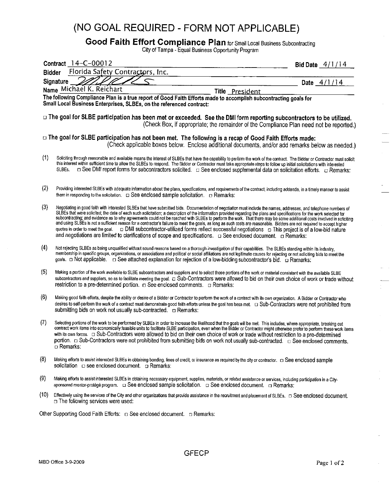## (NO GOAL REQUIRED - FORM NOT APPLICABLE)

# Good Faith Effort Compliance Plan for Small Local Business Subcontracting<br>City of Tampa - Equal Business Opportunity Program

|               | Contract 14-C-00012                                                                                                                                                                                                                                                                                                                                                                                                                                                                                                                                                                                                                                                                                                                                                                                                                                                                                                                                                                       | Bid Date $4/1/14$ |
|---------------|-------------------------------------------------------------------------------------------------------------------------------------------------------------------------------------------------------------------------------------------------------------------------------------------------------------------------------------------------------------------------------------------------------------------------------------------------------------------------------------------------------------------------------------------------------------------------------------------------------------------------------------------------------------------------------------------------------------------------------------------------------------------------------------------------------------------------------------------------------------------------------------------------------------------------------------------------------------------------------------------|-------------------|
| <b>Bidder</b> | Florida Safety Contractors, Inc.                                                                                                                                                                                                                                                                                                                                                                                                                                                                                                                                                                                                                                                                                                                                                                                                                                                                                                                                                          |                   |
|               | <b>Signature</b>                                                                                                                                                                                                                                                                                                                                                                                                                                                                                                                                                                                                                                                                                                                                                                                                                                                                                                                                                                          | Date $4/1/14$     |
|               | Name Michael K. Reichart<br>Title President                                                                                                                                                                                                                                                                                                                                                                                                                                                                                                                                                                                                                                                                                                                                                                                                                                                                                                                                               |                   |
|               | The following Compliance Plan is a true report of Good Faith Efforts made to accomplish subcontracting goals for<br>Small Local Business Enterprises, SLBEs, on the referenced contract:                                                                                                                                                                                                                                                                                                                                                                                                                                                                                                                                                                                                                                                                                                                                                                                                  |                   |
|               | □ The goal for SLBE participation has been met or exceeded. See the DMI form reporting subcontractors to be utilized.<br>(Check Box, if appropriate; the remainder of the Compliance Plan need not be reported.)                                                                                                                                                                                                                                                                                                                                                                                                                                                                                                                                                                                                                                                                                                                                                                          |                   |
|               | □ The goal for SLBE participation has not been met. The following is a recap of Good Faith Efforts made:<br>(Check applicable boxes below. Enclose additional documents, and/or add remarks below as needed.)                                                                                                                                                                                                                                                                                                                                                                                                                                                                                                                                                                                                                                                                                                                                                                             |                   |
| (1)           | Soliciting through reasonable and available means the interest of SLBEs that have the capability to perform the work of the contract. The Bidder or Contractor must solicit<br>this interest within sufficient time to allow the SLBEs to respond. The Bidder or Contractor must take appropriate steps to follow up initial solicitations with interested<br>□ See DMI report forms for subcontractors solicited. □ See enclosed supplemental data on solicitation efforts. □ Remarks:<br>SLBEs.                                                                                                                                                                                                                                                                                                                                                                                                                                                                                         |                   |
| (2)           | Providing interested SLBEs with adequate information about the plans, specifications, and requirements of the contract, including addenda, in a timely manner to assist<br>them in responding to the solicitation. $\Box$ See enclosed sample solicitation. $\Box$ Remarks:                                                                                                                                                                                                                                                                                                                                                                                                                                                                                                                                                                                                                                                                                                               |                   |
| (3)           | Negotiating in good faith with interested SLBEs that have submitted bids. Documentation of negotiation must include the names, addresses, and telephone numbers of<br>SLBEs that were solicited; the date of each such solicitation; a description of the information provided regarding the plans and specifications for the work selected for<br>subcontracting; and evidence as to why agreements could not be reached with SLBEs to perform the work. That there may be some additional costs involved in soliciting<br>and using SLBEs is not a sufficient reason for a contractor's failure to meet the goals, as long as such costs are reasonable. Bidders are not required to accept higher<br>quotes in order to meet the goal. $\Box$ DMI subcontractor-utilized forms reflect successful negotiations $\Box$ This project is of a low-bid nature<br>and negotiations are limited to clarifications of scope and specifications. $\Box$ See enclosed document. $\Box$ Remarks: |                   |
| (4)           | Not rejecting SLBEs as being unqualified without sound reasons based on a thorough investigation of their capabilities. The SLBEs standing within its industry,<br>membership in specific groups, organizations, or associations and political or social affiliations are not legitimate causes for rejecting or not soliciting bids to meet the<br>goals. □ Not applicable. □ See attached explanation for rejection of a low-bidding subcontractor's bid. □ Remarks:                                                                                                                                                                                                                                                                                                                                                                                                                                                                                                                    |                   |
| (5)           | Making a portion of the work available to SLBE subcontractors and suppliers and to select those portions of the work or material consistent with the available SLBE<br>subcontractors and suppliers, so as to facilitate meeting the goal. [1] Sub-Contractors were allowed to bid on their own choice of work or trade without<br>restriction to a pre-determined portion. $\Box$ See enclosed comments. $\Box$ Remarks:                                                                                                                                                                                                                                                                                                                                                                                                                                                                                                                                                                 |                   |
| (6)           | Making good faith efforts, despite the ability or desire of a Bidder or Contractor to perform the work of a contract with its own organization. A Bidder or Contractor who                                                                                                                                                                                                                                                                                                                                                                                                                                                                                                                                                                                                                                                                                                                                                                                                                |                   |
| (7)           | Selecting portions of the work to be performed by SLBEs in order to increase the likelihood that the goals will be met. This includes, where appropriate, breaking out<br>contract work items into economically feasible units to facilitate SLBE participation, even when the Bidder or Contractor might otherwise prefer to perform these work items<br>portion. □ Sub-Contractors were not prohibited from submitting bids on work not usually sub-contracted. □ See enclosed comments.<br>□ Remarks:                                                                                                                                                                                                                                                                                                                                                                                                                                                                                  |                   |
| (8)           | Making efforts to assist interested SLBEs in obtaining bonding, lines of credit, or insurance as required by the city or contractor. [1] See enclosed sample<br>solicitation $\Box$ see enclosed document. $\Box$ Remarks:                                                                                                                                                                                                                                                                                                                                                                                                                                                                                                                                                                                                                                                                                                                                                                |                   |
| (9)           | Making efforts to assist interested SLBEs in obtaining necessary equipment, supplies, materials, or related assistance or services, including participation in a City-                                                                                                                                                                                                                                                                                                                                                                                                                                                                                                                                                                                                                                                                                                                                                                                                                    |                   |
| (10)          | □ The following services were used:                                                                                                                                                                                                                                                                                                                                                                                                                                                                                                                                                                                                                                                                                                                                                                                                                                                                                                                                                       |                   |
|               | Other Supporting Good Faith Efforts: $\Box$ See enclosed document. $\Box$ Remarks:                                                                                                                                                                                                                                                                                                                                                                                                                                                                                                                                                                                                                                                                                                                                                                                                                                                                                                        |                   |
|               | <b>GFECP</b><br>MBD Office 3-9-2009                                                                                                                                                                                                                                                                                                                                                                                                                                                                                                                                                                                                                                                                                                                                                                                                                                                                                                                                                       | Page 1 of 2       |